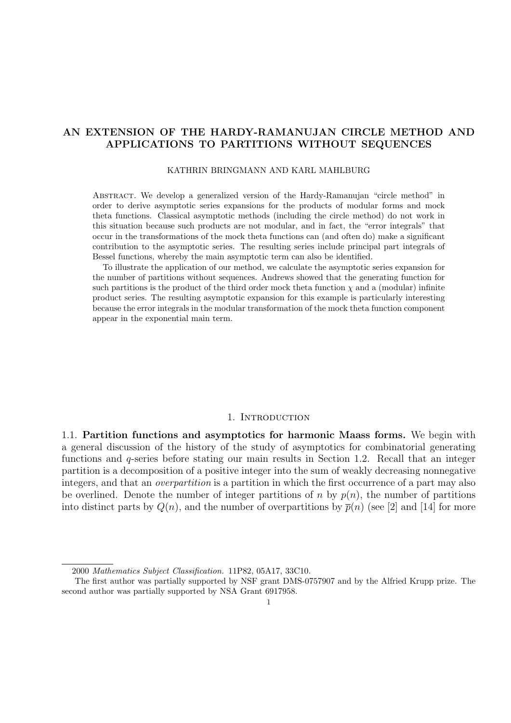# **AN EXTENSION OF THE HARDY-RAMANUJAN CIRCLE METHOD AND APPLICATIONS TO PARTITIONS WITHOUT SEQUENCES**

## KATHRIN BRINGMANN AND KARL MAHLBURG

Abstract. We develop a generalized version of the Hardy-Ramanujan "circle method" in order to derive asymptotic series expansions for the products of modular forms and mock theta functions. Classical asymptotic methods (including the circle method) do not work in this situation because such products are not modular, and in fact, the "error integrals" that occur in the transformations of the mock theta functions can (and often do) make a significant contribution to the asymptotic series. The resulting series include principal part integrals of Bessel functions, whereby the main asymptotic term can also be identified.

To illustrate the application of our method, we calculate the asymptotic series expansion for the number of partitions without sequences. Andrews showed that the generating function for such partitions is the product of the third order mock theta function  $\chi$  and a (modular) infinite product series. The resulting asymptotic expansion for this example is particularly interesting because the error integrals in the modular transformation of the mock theta function component appear in the exponential main term.

# 1. INTRODUCTION

1.1. **Partition functions and asymptotics for harmonic Maass forms.** We begin with a general discussion of the history of the study of asymptotics for combinatorial generating functions and q-series before stating our main results in Section 1.2. Recall that an integer partition is a decomposition of a positive integer into the sum of weakly decreasing nonnegative integers, and that an overpartition is a partition in which the first occurrence of a part may also be overlined. Denote the number of integer partitions of n by  $p(n)$ , the number of partitions into distinct parts by  $Q(n)$ , and the number of overpartitions by  $\bar{p}(n)$  (see [2] and [14] for more

<sup>2000</sup> Mathematics Subject Classification. 11P82, 05A17, 33C10.

The first author was partially supported by NSF grant DMS-0757907 and by the Alfried Krupp prize. The second author was partially supported by NSA Grant 6917958.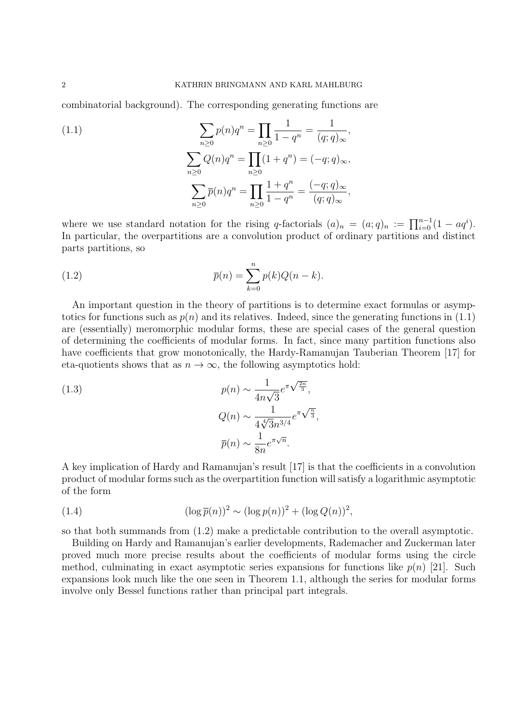combinatorial background). The corresponding generating functions are

(1.1)  
\n
$$
\sum_{n\geq 0} p(n)q^n = \prod_{n\geq 0} \frac{1}{1-q^n} = \frac{1}{(q;q)_{\infty}},
$$
\n
$$
\sum_{n\geq 0} Q(n)q^n = \prod_{n\geq 0} (1+q^n) = (-q;q)_{\infty},
$$
\n
$$
\sum_{n\geq 0} \overline{p}(n)q^n = \prod_{n\geq 0} \frac{1+q^n}{1-q^n} = \frac{(-q;q)_{\infty}}{(q;q)_{\infty}},
$$

where we use standard notation for the rising q-factorials  $(a)_n = (a;q)_n := \prod_{i=0}^{n-1} (1 - aq^i)$ . In particular, the overpartitions are a convolution product of ordinary partitions and distinct parts partitions, so

(1.2) 
$$
\overline{p}(n) = \sum_{k=0}^{n} p(k)Q(n-k).
$$

An important question in the theory of partitions is to determine exact formulas or asymptotics for functions such as  $p(n)$  and its relatives. Indeed, since the generating functions in (1.1) are (essentially) meromorphic modular forms, these are special cases of the general question of determining the coefficients of modular forms. In fact, since many partition functions also have coefficients that grow monotonically, the Hardy-Ramanujan Tauberian Theorem [17] for eta-quotients shows that as  $n \to \infty$ , the following asymptotics hold:

(1.3)  

$$
p(n) \sim \frac{1}{4n\sqrt{3}}e^{\pi\sqrt{\frac{2n}{3}}},
$$

$$
Q(n) \sim \frac{1}{4\sqrt[4]{3}n^{3/4}}e^{\pi\sqrt{\frac{n}{3}}},
$$

$$
\overline{p}(n) \sim \frac{1}{8n}e^{\pi\sqrt{n}}.
$$

A key implication of Hardy and Ramanujan's result [17] is that the coefficients in a convolution product of modular forms such as the overpartition function will satisfy a logarithmic asymptotic of the form

(1.4) 
$$
(\log \overline{p}(n))^2 \sim (\log p(n))^2 + (\log Q(n))^2,
$$

so that both summands from (1.2) make a predictable contribution to the overall asymptotic.

Building on Hardy and Ramanujan's earlier developments, Rademacher and Zuckerman later proved much more precise results about the coefficients of modular forms using the circle method, culminating in exact asymptotic series expansions for functions like  $p(n)$  [21]. Such expansions look much like the one seen in Theorem 1.1, although the series for modular forms involve only Bessel functions rather than principal part integrals.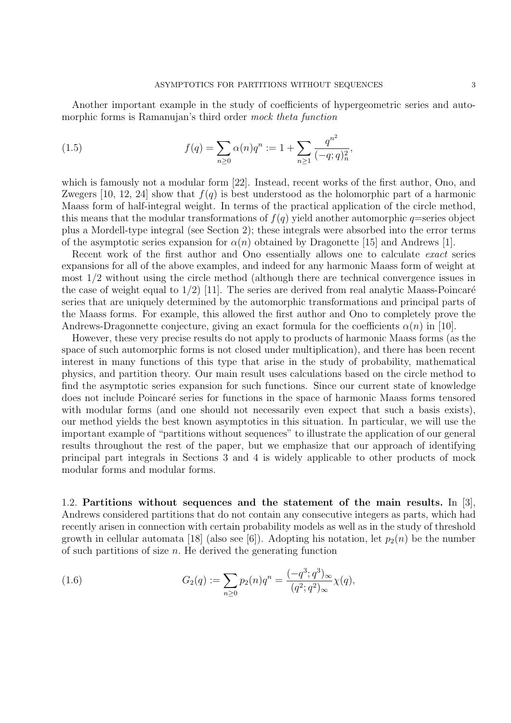Another important example in the study of coefficients of hypergeometric series and automorphic forms is Ramanujan's third order mock theta function

(1.5) 
$$
f(q) = \sum_{n\geq 0} \alpha(n) q^n := 1 + \sum_{n\geq 1} \frac{q^{n^2}}{(-q;q)_n^2},
$$

which is famously not a modular form [22]. Instead, recent works of the first author, Ono, and Zwegers [10, 12, 24] show that  $f(q)$  is best understood as the holomorphic part of a harmonic Maass form of half-integral weight. In terms of the practical application of the circle method, this means that the modular transformations of  $f(q)$  yield another automorphic q=series object plus a Mordell-type integral (see Section 2); these integrals were absorbed into the error terms of the asymptotic series expansion for  $\alpha(n)$  obtained by Dragonette [15] and Andrews [1].

Recent work of the first author and Ono essentially allows one to calculate exact series expansions for all of the above examples, and indeed for any harmonic Maass form of weight at most 1/2 without using the circle method (although there are technical convergence issues in the case of weight equal to  $1/2$ ) [11]. The series are derived from real analytic Maass-Poincaré series that are uniquely determined by the automorphic transformations and principal parts of the Maass forms. For example, this allowed the first author and Ono to completely prove the Andrews-Dragonnette conjecture, giving an exact formula for the coefficients  $\alpha(n)$  in [10].

However, these very precise results do not apply to products of harmonic Maass forms (as the space of such automorphic forms is not closed under multiplication), and there has been recent interest in many functions of this type that arise in the study of probability, mathematical physics, and partition theory. Our main result uses calculations based on the circle method to find the asymptotic series expansion for such functions. Since our current state of knowledge does not include Poincaré series for functions in the space of harmonic Maass forms tensored with modular forms (and one should not necessarily even expect that such a basis exists), our method yields the best known asymptotics in this situation. In particular, we will use the important example of "partitions without sequences" to illustrate the application of our general results throughout the rest of the paper, but we emphasize that our approach of identifying principal part integrals in Sections 3 and 4 is widely applicable to other products of mock modular forms and modular forms.

1.2. **Partitions without sequences and the statement of the main results.** In [3], Andrews considered partitions that do not contain any consecutive integers as parts, which had recently arisen in connection with certain probability models as well as in the study of threshold growth in cellular automata [18] (also see [6]). Adopting his notation, let  $p_2(n)$  be the number of such partitions of size  $n$ . He derived the generating function

(1.6) 
$$
G_2(q) := \sum_{n\geq 0} p_2(n)q^n = \frac{(-q^3;q^3)_{\infty}}{(q^2;q^2)_{\infty}}\chi(q),
$$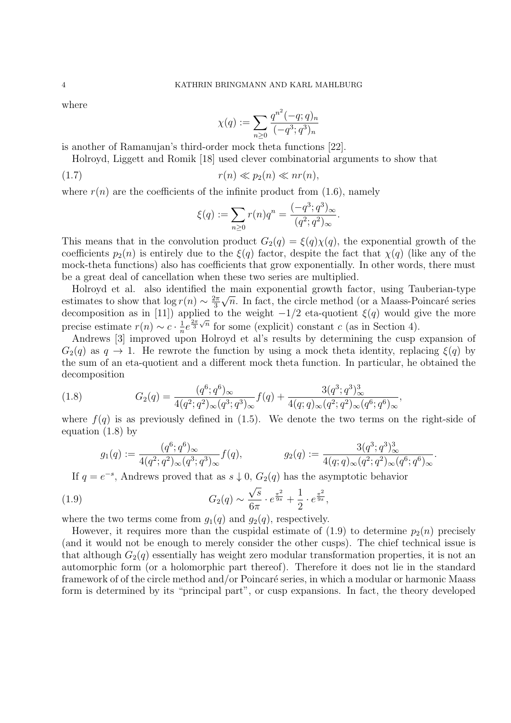where

$$
\chi(q) := \sum_{n \ge 0} \frac{q^{n^2} (-q;q)_n}{(-q^3;q^3)_n}
$$

is another of Ramanujan's third-order mock theta functions [22].

Holroyd, Liggett and Romik [18] used clever combinatorial arguments to show that

$$
(1.7) \t\t\t r(n) \ll p_2(n) \ll nr(n),
$$

where  $r(n)$  are the coefficients of the infinite product from (1.6), namely

$$
\xi(q) := \sum_{n \ge 0} r(n)q^n = \frac{(-q^3; q^3)_{\infty}}{(q^2; q^2)_{\infty}}
$$

.

This means that in the convolution product  $G_2(q) = \xi(q)\chi(q)$ , the exponential growth of the coefficients  $p_2(n)$  is entirely due to the  $\xi(q)$  factor, despite the fact that  $\chi(q)$  (like any of the mock-theta functions) also has coefficients that grow exponentially. In other words, there must be a great deal of cancellation when these two series are multiplied.

Holroyd et al. also identified the main exponential growth factor, using Tauberian-type estimates to show that  $\log r(n) \sim \frac{2\pi}{3}\sqrt{n}$ . In fact, the circle method (or a Maass-Poincaré series decomposition as in [11]) applied to the weight  $-1/2$  eta-quotient  $\xi(q)$  would give the more precise estimate  $r(n) \sim c \cdot \frac{1}{n} e^{\frac{2\pi}{3}\sqrt{n}}$  for some (explicit) constant c (as in Section 4).

Andrews [3] improved upon Holroyd et al's results by determining the cusp expansion of  $G_2(q)$  as  $q \to 1$ . He rewrote the function by using a mock theta identity, replacing  $\xi(q)$  by the sum of an eta-quotient and a different mock theta function. In particular, he obtained the decomposition

(1.8) 
$$
G_2(q) = \frac{(q^6; q^6)_{\infty}}{4(q^2; q^2)_{\infty}(q^3; q^3)_{\infty}} f(q) + \frac{3(q^3; q^3)_{\infty}^3}{4(q; q)_{\infty}(q^2; q^2)_{\infty}(q^6; q^6)_{\infty}},
$$

where  $f(q)$  is as previously defined in (1.5). We denote the two terms on the right-side of equation (1.8) by

$$
g_1(q) := \frac{(q^6;q^6)_{\infty}}{4(q^2;q^2)_{\infty}(q^3;q^3)_{\infty}} f(q), \qquad g_2(q) := \frac{3(q^3;q^3)_{\infty}^3}{4(q;q)_{\infty}(q^2;q^2)_{\infty}(q^6;q^6)_{\infty}}.
$$

If  $q = e^{-s}$ , Andrews proved that as  $s \downarrow 0$ ,  $G_2(q)$  has the asymptotic behavior

(1.9) 
$$
G_2(q) \sim \frac{\sqrt{s}}{6\pi} \cdot e^{\frac{\pi^2}{9s}} + \frac{1}{2} \cdot e^{\frac{\pi^2}{9s}},
$$

where the two terms come from  $g_1(q)$  and  $g_2(q)$ , respectively.

However, it requires more than the cuspidal estimate of (1.9) to determine  $p_2(n)$  precisely (and it would not be enough to merely consider the other cusps). The chief technical issue is that although  $G_2(q)$  essentially has weight zero modular transformation properties, it is not an automorphic form (or a holomorphic part thereof). Therefore it does not lie in the standard framework of of the circle method and/or Poincaré series, in which a modular or harmonic Maass form is determined by its "principal part", or cusp expansions. In fact, the theory developed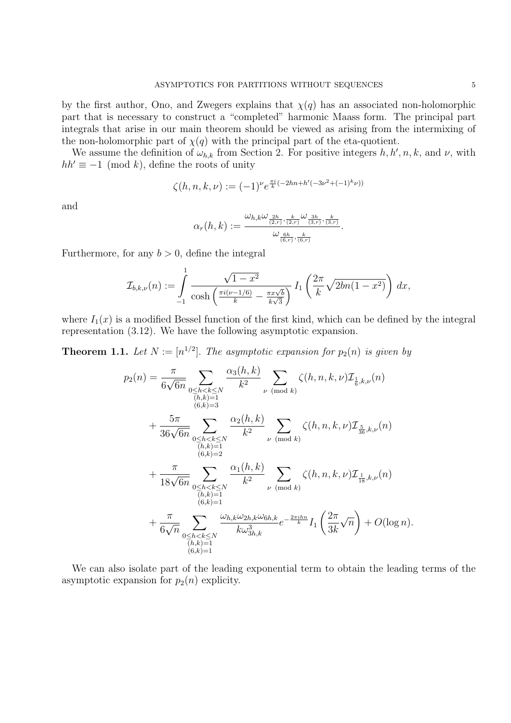by the first author, Ono, and Zwegers explains that  $\chi(q)$  has an associated non-holomorphic part that is necessary to construct a "completed" harmonic Maass form. The principal part integrals that arise in our main theorem should be viewed as arising from the intermixing of the non-holomorphic part of  $\chi(q)$  with the principal part of the eta-quotient.

We assume the definition of  $\omega_{h,k}$  from Section 2. For positive integers  $h, h', n, k$ , and  $\nu$ , with  $hh' \equiv -1 \pmod{k}$ , define the roots of unity

$$
\zeta(h,n,k,\nu) := (-1)^{\nu} e^{\frac{\pi i}{k}(-2hn + h'(-3\nu^2 + (-1)^k \nu))}
$$

and

$$
\alpha_r(h,k):=\frac{\omega_{h,k}\omega_{\frac{2h}{(2,r)},\frac{k}{(2,r)}}\omega_{\frac{3h}{(3,r)},\frac{k}{(3,r)}}}{\omega_{\frac{6h}{(6,r)},\frac{k}{(6,r)}}}.
$$

Furthermore, for any  $b > 0$ , define the integral

$$
\mathcal{I}_{b,k,\nu}(n) := \int_{-1}^{1} \frac{\sqrt{1-x^2}}{\cosh\left(\frac{\pi i(\nu-1/6)}{k} - \frac{\pi x \sqrt{b}}{k\sqrt{3}}\right)} I_1\left(\frac{2\pi}{k}\sqrt{2bn(1-x^2)}\right) dx,
$$

where  $I_1(x)$  is a modified Bessel function of the first kind, which can be defined by the integral representation (3.12). We have the following asymptotic expansion.

**Theorem 1.1.** Let  $N := [n^{1/2}]$ . The asymptotic expansion for  $p_2(n)$  is given by

$$
p_2(n) = \frac{\pi}{6\sqrt{6n}} \sum_{\substack{0 \le h < k \le N \\ (h,k)=1}} \frac{\alpha_3(h,k)}{k^2} \sum_{\nu \pmod{k}} \zeta(h,n,k,\nu) \mathcal{I}_{\frac{1}{6},k,\nu}(n) + \frac{5\pi}{36\sqrt{6n}} \sum_{\substack{0 \le h < k \le N \\ (h,k)=1}} \frac{\alpha_2(h,k)}{k^2} \sum_{\nu \pmod{k}} \zeta(h,n,k,\nu) \mathcal{I}_{\frac{5}{36},k,\nu}(n) + \frac{\pi}{18\sqrt{6n}} \sum_{\substack{0 \le h < k \le N \\ (h,k)=1 \\ (h,k)=1}} \frac{\alpha_1(h,k)}{k^2} \sum_{\substack{\nu \pmod{k} \\ (\text{mod } k)}} \zeta(h,n,k,\nu) \mathcal{I}_{\frac{1}{18},k,\nu}(n) + \frac{\pi}{6\sqrt{n}} \sum_{\substack{0 \le h < k \le N \\ (h,k)=1}} \frac{\alpha_1(h,k)}{k\omega_{3h,k}^3} \sum_{e^{-\frac{2\pi i h n}{k}}} \zeta(h,n,k,\nu) \mathcal{I}_{\frac{1}{18},k,\nu}(n) + \frac{\pi}{6\sqrt{n}} \sum_{\substack{0 \le h < k \le N \\ (h,k)=1}} \frac{\omega_{h,k}\omega_{2h,k}\omega_{6h,k}}{k\omega_{3h,k}^3} e^{-\frac{2\pi i h n}{k}} I_1\left(\frac{2\pi}{3k}\sqrt{n}\right) + O(\log n).
$$

We can also isolate part of the leading exponential term to obtain the leading terms of the asymptotic expansion for  $p_2(n)$  explicity.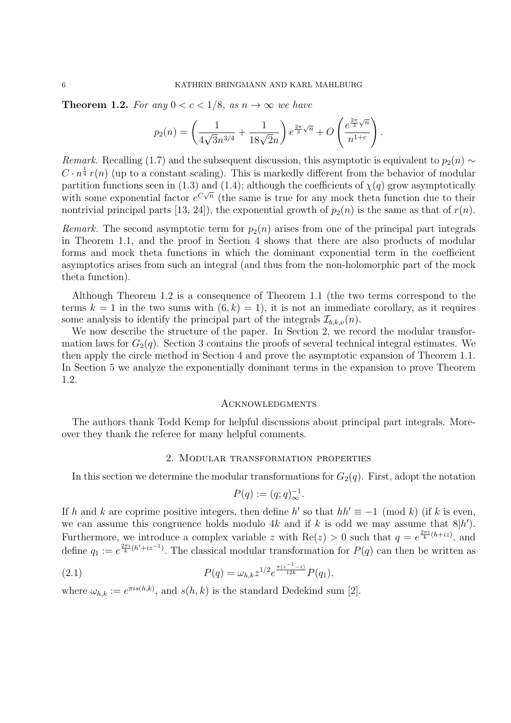**Theorem 1.2.** For any  $0 < c < 1/8$ , as  $n \to \infty$  we have

$$
p_2(n) = \left(\frac{1}{4\sqrt{3}n^{3/4}} + \frac{1}{18\sqrt{2}n}\right)e^{\frac{2\pi}{3}\sqrt{n}} + O\left(\frac{e^{\frac{2\pi}{3}\sqrt{n}}}{n^{1+c}}\right).
$$

Remark. Recalling (1.7) and the subsequent discussion, this asymptotic is equivalent to  $p_2(n) \sim$  $C \cdot n^{\frac{1}{4}} r(n)$  (up to a constant scaling). This is markedly different from the behavior of modular partition functions seen in (1.3) and (1.4); although the coefficients of  $\chi(q)$  grow asymptotically with some exponential factor  $e^{C\sqrt{n}}$  (the same is true for any mock theta function due to their nontrivial principal parts [13, 24]), the exponential growth of  $p_2(n)$  is the same as that of  $r(n)$ .

*Remark.* The second asymptotic term for  $p_2(n)$  arises from one of the principal part integrals in Theorem 1.1, and the proof in Section 4 shows that there are also products of modular forms and mock theta functions in which the dominant exponential term in the coefficient asymptotics arises from such an integral (and thus from the non-holomorphic part of the mock theta function).

Although Theorem 1.2 is a consequence of Theorem 1.1 (the two terms correspond to the terms  $k = 1$  in the two sums with  $(6, k) = 1$ , it is not an immediate corollary, as it requires some analysis to identify the principal part of the integrals  $\mathcal{I}_{b,k,\nu}(n)$ .

We now describe the structure of the paper. In Section 2, we record the modular transformation laws for  $G_2(q)$ . Section 3 contains the proofs of several technical integral estimates. We then apply the circle method in Section 4 and prove the asymptotic expansion of Theorem 1.1. In Section 5 we analyze the exponentially dominant terms in the expansion to prove Theorem 1.2.

#### **ACKNOWLEDGMENTS**

The authors thank Todd Kemp for helpful discussions about principal part integrals. Moreover they thank the referee for many helpful comments.

#### 2. Modular transformation properties

In this section we determine the modular transformations for  $G_2(q)$ . First, adopt the notation

$$
P(q) := (q;q)_{\infty}^{-1}.
$$

If h and k are coprime positive integers, then define h' so that  $hh' \equiv -1 \pmod{k}$  (if k is even, we can assume this congruence holds modulo 4k and if k is odd we may assume that  $8|h'$ . Furthermore, we introduce a complex variable z with  $\text{Re}(z) > 0$  such that  $q = e^{\frac{2\pi i}{k}(h+iz)}$ , and define  $q_1 := e^{\frac{2\pi i}{k}(h'+iz^{-1})}$ . The classical modular transformation for  $P(q)$  can then be written as

(2.1) 
$$
P(q) = \omega_{h,k} z^{1/2} e^{\frac{\pi (z^{-1} - z)}{12k}} P(q_1),
$$

where  $\omega_{h,k} := e^{\pi i s(h,k)}$ , and  $s(h,k)$  is the standard Dedekind sum [2].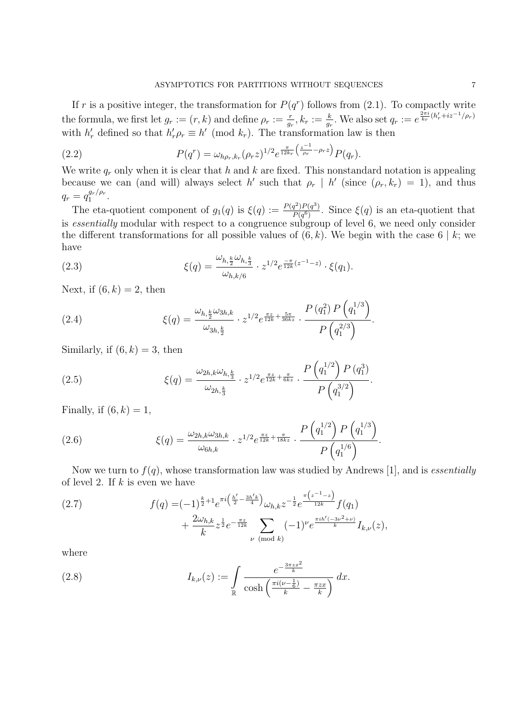If r is a positive integer, the transformation for  $P(q^r)$  follows from (2.1). To compactly write the formula, we first let  $g_r := (r, k)$  and define  $\rho_r := \frac{r}{g_r}, k_r := \frac{k}{g_r}$ . We also set  $q_r := e^{\frac{2\pi i}{k_r}(h'_r + iz^{-1}/\rho_r)}$ with  $h'_r$  defined so that  $h'_r \rho_r \equiv h' \pmod{k_r}$ . The transformation law is then

(2.2) 
$$
P(q^r) = \omega_{h\rho_r,k_r}(\rho_r z)^{1/2} e^{\frac{\pi}{12k_r} \left(\frac{z^{-1}}{\rho_r} - \rho_r z\right)} P(q_r).
$$

We write  $q_r$  only when it is clear that h and k are fixed. This nonstandard notation is appealing because we can (and will) always select h' such that  $\rho_r$  | h' (since  $(\rho_r, k_r) = 1$ ), and thus  $q_r = q_1^{g_r/\rho_r}.$ 

The eta-quotient component of  $g_1(q)$  is  $\xi(q) := \frac{P(q^2)P(q^3)}{P(q^6)}$ . Since  $\xi(q)$  is an eta-quotient that is essentially modular with respect to a congruence subgroup of level 6, we need only consider the different transformations for all possible values of  $(6, k)$ . We begin with the case  $6 \mid k$ ; we have

(2.3) 
$$
\xi(q) = \frac{\omega_{h,\frac{k}{2}}\omega_{h,\frac{k}{3}}}{\omega_{h,k/6}} \cdot z^{1/2} e^{\frac{-\pi}{12k}(z^{-1}-z)} \cdot \xi(q_1).
$$

Next, if  $(6, k) = 2$ , then

(2.4) 
$$
\xi(q) = \frac{\omega_{h,\frac{k}{2}}\omega_{3h,k}}{\omega_{3h,\frac{k}{2}}} \cdot z^{1/2}e^{\frac{\pi z}{12k} + \frac{5\pi}{36kz}} \cdot \frac{P(q_1^2)P(q_1^{1/3})}{P(q_1^{2/3})}.
$$

Similarly, if  $(6, k) = 3$ , then

(2.5) 
$$
\xi(q) = \frac{\omega_{2h,k}\omega_{h,\frac{k}{3}}}{\omega_{2h,\frac{k}{3}}} \cdot z^{1/2} e^{\frac{\pi z}{12k} + \frac{\pi}{6kz}} \cdot \frac{P\left(q_1^{1/2}\right) P\left(q_1^3\right)}{P\left(q_1^{3/2}\right)}.
$$

Finally, if  $(6, k) = 1$ ,

(2.6) 
$$
\xi(q) = \frac{\omega_{2h,k}\omega_{3h,k}}{\omega_{6h,k}} \cdot z^{1/2} e^{\frac{\pi z}{12k} + \frac{\pi}{18kz}} \cdot \frac{P\left(q_1^{1/2}\right) P\left(q_1^{1/3}\right)}{P\left(q_1^{1/6}\right)}.
$$

Now we turn to  $f(q)$ , whose transformation law was studied by Andrews [1], and is *essentially* of level 2. If  $k$  is even we have

(2.7) 
$$
f(q) = (-1)^{\frac{k}{2}+1} e^{\pi i \left(\frac{h'}{2}-\frac{3h'k}{4}\right)} \omega_{h,k} z^{-\frac{1}{2}} e^{\frac{\pi \left(z^{-1}-z\right)}{12k}} f(q_1) + \frac{2\omega_{h,k}}{k} z^{\frac{1}{2}} e^{-\frac{\pi z}{12k}} \sum_{\nu \pmod{k}} (-1)^{\nu} e^{\frac{\pi i h'(-3\nu^2+\nu)}{k}} I_{k,\nu}(z),
$$

where

(2.8) 
$$
I_{k,\nu}(z) := \int\limits_{\mathbb{R}} \frac{e^{-\frac{3\pi z x^2}{k}}}{\cosh\left(\frac{\pi i(\nu-\frac{1}{6})}{k}-\frac{\pi z x}{k}\right)} dx.
$$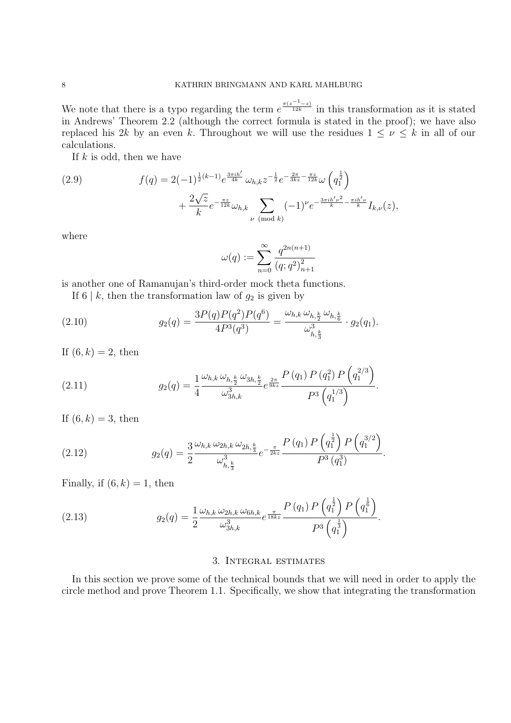We note that there is a typo regarding the term  $e^{\frac{\pi(z^{-1}-z)}{12k}}$  in this transformation as it is stated in Andrews' Theorem 2.2 (although the correct formula is stated in the proof); we have also replaced his 2k by an even k. Throughout we will use the residues  $1 \leq \nu \leq k$  in all of our calculations.

If  $k$  is odd, then we have

(2.9) 
$$
f(q) = 2(-1)^{\frac{1}{2}(k-1)} e^{\frac{3\pi i h'}{4k}} \omega_{h,k} z^{-\frac{1}{2}} e^{-\frac{2\pi}{3kz} - \frac{\pi z}{12k}} \omega \left( q_1^{\frac{1}{2}} \right) + \frac{2\sqrt{z}}{k} e^{-\frac{\pi z}{12k}} \omega_{h,k} \sum_{\nu \pmod{k}} (-1)^{\nu} e^{-\frac{3\pi i h' \nu^2}{k} - \frac{\pi i h' \nu}{k}} I_{k,\nu}(z),
$$

where

$$
\omega(q):=\sum_{n=0}^\infty \frac{q^{2n(n+1)}}{(q;q^2)_{n+1}^2}
$$

is another one of Ramanujan's third-order mock theta functions.

If 6 | k, then the transformation law of  $g_2$  is given by

(2.10) 
$$
g_2(q) = \frac{3P(q)P(q^2)P(q^6)}{4P^3(q^3)} = \frac{\omega_{h,k}\,\omega_{h,\frac{k}{2}}\,\omega_{h,\frac{k}{6}}}{\omega_{h,\frac{k}{3}}^3} \cdot g_2(q_1).
$$

If  $(6, k) = 2$ , then

(2.11) 
$$
g_2(q) = \frac{1}{4} \frac{\omega_{h,k} \omega_{h,\frac{k}{2}} \omega_{3h,\frac{k}{2}}}{\omega_{3h,k}^3} e^{\frac{2\pi}{9kz}} \frac{P(q_1) P(q_1^2) P(q_1^{2/3})}{P^3(q_1^{1/3})}.
$$

If  $(6, k) = 3$ , then

(2.12) 
$$
g_2(q) = \frac{3}{2} \frac{\omega_{h,k} \omega_{2h,k} \omega_{2h,\frac{k}{3}}}{\omega_{h,\frac{k}{3}}^3} e^{-\frac{\pi}{2kz}} \frac{P(q_1) P\left(q_1^{\frac{1}{2}}\right) P\left(q_1^{3/2}\right)}{P^3(q_1^3)}.
$$

Finally, if  $(6, k) = 1$ , then

(2.13) 
$$
g_2(q) = \frac{1}{2} \frac{\omega_{h,k} \omega_{2h,k} \omega_{6h,k}}{\omega_{3h,k}^3} e^{\frac{\pi}{18kz}} \frac{P(q_1) P\left(q_1^{\frac{1}{2}}\right) P\left(q_1^{\frac{1}{6}}\right)}{P^3\left(q_1^{\frac{1}{3}}\right)}.
$$

## 3. Integral estimates

In this section we prove some of the technical bounds that we will need in order to apply the circle method and prove Theorem 1.1. Specifically, we show that integrating the transformation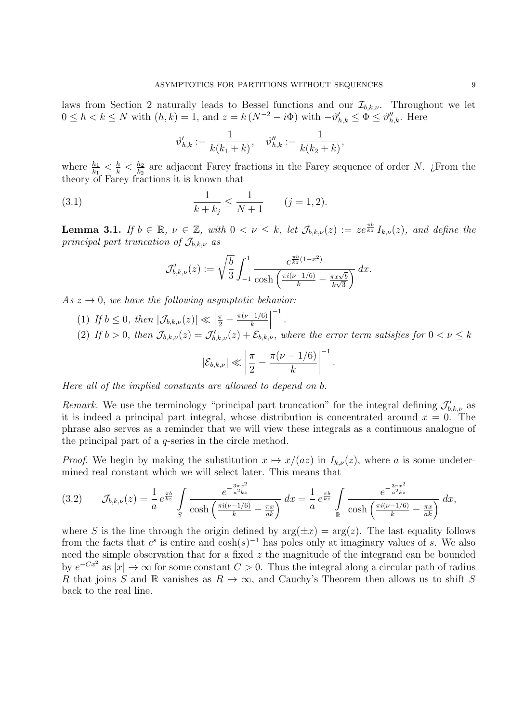laws from Section 2 naturally leads to Bessel functions and our  $\mathcal{I}_{b,k,\nu}$ . Throughout we let  $0 \leq h < k \leq N$  with  $(h, k) = 1$ , and  $z = k (N^{-2} - i\Phi)$  with  $-\vartheta'_{h,k} \leq \Phi \leq \vartheta''_{h,k}$ . Here

$$
\vartheta_{h,k}' := \frac{1}{k(k_1 + k)}, \quad \vartheta_{h,k}'' := \frac{1}{k(k_2 + k)},
$$

where  $\frac{h_1}{k_1} \leq \frac{h}{k} \leq \frac{h_2}{k_2}$  are adjacent Farey fractions in the Farey sequence of order N. ¿From the theory of Farey fractions it is known that

(3.1) 
$$
\frac{1}{k+k_j} \le \frac{1}{N+1} \qquad (j=1,2).
$$

**Lemma 3.1.** If  $b \in \mathbb{R}$ ,  $\nu \in \mathbb{Z}$ , with  $0 < \nu \leq k$ , let  $\mathcal{J}_{b,k,\nu}(z) := ze^{\frac{\pi b}{kz}} I_{k,\nu}(z)$ , and define the principal part truncation of  $\mathcal{J}_{b,k,\nu}$  as

$$
\mathcal{J}'_{b,k,\nu}(z) := \sqrt{\frac{b}{3}} \int_{-1}^{1} \frac{e^{\frac{\pi b}{kz}(1-x^2)}}{\cosh\left(\frac{\pi i(\nu-1/6)}{k} - \frac{\pi x\sqrt{b}}{k\sqrt{3}}\right)} dx.
$$

As  $z \to 0$ , we have the following asymptotic behavior:

(1) If  $b \leq 0$ , then  $|\mathcal{J}_{b,k,\nu}(z)| \ll$  $\frac{\pi}{2} - \frac{\pi(\nu - 1/6)}{k}$ −1 . (2) If  $b > 0$ , then  $\mathcal{J}_{b,k,\nu}(z) = \mathcal{J}'_{b,k,\nu}(z) + \mathcal{E}_{b,k,\nu}$ , where the error term satisfies for  $0 < \nu \leq k$  $\bigg\}$  $\pi$  $\bigg\}$ −1

$$
|\mathcal{E}_{b,k,\nu}| \ll \left|\frac{\pi}{2}-\frac{\pi(\nu-1/6)}{k}\right|^{-1}.
$$

Here all of the implied constants are allowed to depend on b.

Remark. We use the terminology "principal part truncation" for the integral defining  $\mathcal{J}'_{b,k,\nu}$  as it is indeed a principal part integral, whose distribution is concentrated around  $x = 0$ . The phrase also serves as a reminder that we will view these integrals as a continuous analogue of the principal part of a q-series in the circle method.

*Proof.* We begin by making the substitution  $x \mapsto x/(az)$  in  $I_{k,\nu}(z)$ , where a is some undetermined real constant which we will select later. This means that

$$
(3.2) \qquad \mathcal{J}_{b,k,\nu}(z) = \frac{1}{a} e^{\frac{\pi b}{kz}} \int_{S} \frac{e^{-\frac{3\pi x^2}{a^2 kz}}}{\cosh\left(\frac{\pi i(\nu-1/6)}{k} - \frac{\pi x}{ak}\right)} dx = \frac{1}{a} e^{\frac{\pi b}{kz}} \int_{\mathbb{R}} \frac{e^{-\frac{3\pi x^2}{a^2 kz}}}{\cosh\left(\frac{\pi i(\nu-1/6)}{k} - \frac{\pi x}{ak}\right)} dx,
$$

where S is the line through the origin defined by  $arg(\pm x) = arg(z)$ . The last equality follows from the facts that  $e^s$  is entire and cosh(s)<sup>-1</sup> has poles only at imaginary values of s. We also need the simple observation that for a fixed  $z$  the magnitude of the integrand can be bounded by  $e^{-Cx^2}$  as  $|x| \to \infty$  for some constant  $C > 0$ . Thus the integral along a circular path of radius R that joins S and R vanishes as  $R \to \infty$ , and Cauchy's Theorem then allows us to shift S back to the real line.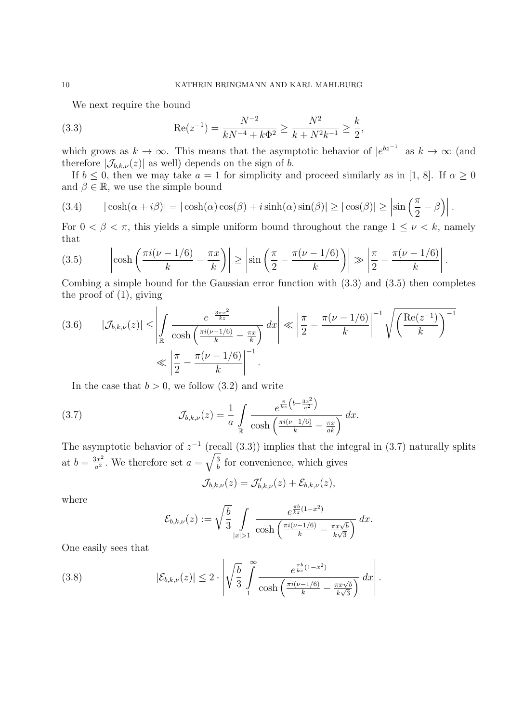We next require the bound

(3.3) 
$$
\operatorname{Re}(z^{-1}) = \frac{N^{-2}}{kN^{-4} + k\Phi^2} \ge \frac{N^2}{k + N^2k^{-1}} \ge \frac{k}{2},
$$

which grows as  $k \to \infty$ . This means that the asymptotic behavior of  $|e^{bz^{-1}}|$  as  $k \to \infty$  (and therefore  $|\mathcal{J}_{b,k,\nu}(z)|$  as well) depends on the sign of b.

If  $b \leq 0$ , then we may take  $a = 1$  for simplicity and proceed similarly as in [1, 8]. If  $\alpha \geq 0$ and  $\beta \in \mathbb{R}$ , we use the simple bound

(3.4) 
$$
|\cosh(\alpha + i\beta)| = |\cosh(\alpha)\cos(\beta) + i\sinh(\alpha)\sin(\beta)| \ge |\cos(\beta)| \ge \left|\sin\left(\frac{\pi}{2} - \beta\right)\right|.
$$

For  $0 < \beta < \pi$ , this yields a simple uniform bound throughout the range  $1 \leq \nu < k$ , namely that

(3.5) 
$$
\left|\cosh\left(\frac{\pi i(\nu-1/6)}{k}-\frac{\pi x}{k}\right)\right| \ge \left|\sin\left(\frac{\pi}{2}-\frac{\pi(\nu-1/6)}{k}\right)\right| \gg \left|\frac{\pi}{2}-\frac{\pi(\nu-1/6)}{k}\right|.
$$

Combing a simple bound for the Gaussian error function with (3.3) and (3.5) then completes the proof of (1), giving

$$
(3.6) \qquad |\mathcal{J}_{b,k,\nu}(z)| \leq \left| \int_{\mathbb{R}} \frac{e^{-\frac{3\pi x^2}{kz}}}{\cosh\left(\frac{\pi i(\nu-1/6)}{k} - \frac{\pi x}{k}\right)} dx \right| \ll \left| \frac{\pi}{2} - \frac{\pi(\nu-1/6)}{k} \right|^{-1} \sqrt{\left(\frac{\text{Re}(z^{-1})}{k}\right)^{-1}} \ll \left| \frac{\pi}{2} - \frac{\pi(\nu-1/6)}{k} \right|^{-1}.
$$

In the case that  $b > 0$ , we follow (3.2) and write

(3.7) 
$$
\mathcal{J}_{b,k,\nu}(z) = \frac{1}{a} \int\limits_{\mathbb{R}} \frac{e^{\frac{\pi}{kz} \left(b - \frac{3x^2}{a^2}\right)}}{\cosh\left(\frac{\pi i(\nu - 1/6)}{k} - \frac{\pi x}{ak}\right)} dx.
$$

The asymptotic behavior of  $z^{-1}$  (recall (3.3)) implies that the integral in (3.7) naturally splits at  $b = \frac{3x^2}{a^2}$ . We therefore set  $a = \sqrt{\frac{3}{b}}$  for convenience, which gives

$$
\mathcal{J}_{b,k,\nu}(z)=\mathcal{J}_{b,k,\nu}'(z)+\mathcal{E}_{b,k,\nu}(z),
$$

where

$$
\mathcal{E}_{b,k,\nu}(z) := \sqrt{\frac{b}{3}} \int\limits_{|x|>1} \frac{e^{\frac{\pi b}{kz}(1-x^2)}}{\cosh\left(\frac{\pi i(\nu-1/6)}{k} - \frac{\pi x\sqrt{b}}{k\sqrt{3}}\right)} dx.
$$

One easily sees that

(3.8) 
$$
|\mathcal{E}_{b,k,\nu}(z)| \leq 2 \cdot \left| \sqrt{\frac{b}{3}} \int_{1}^{\infty} \frac{e^{\frac{\pi b}{kz}(1-x^2)}}{\cosh\left(\frac{\pi i(\nu-1/6)}{k} - \frac{\pi x\sqrt{b}}{k\sqrt{3}}\right)} dx \right|.
$$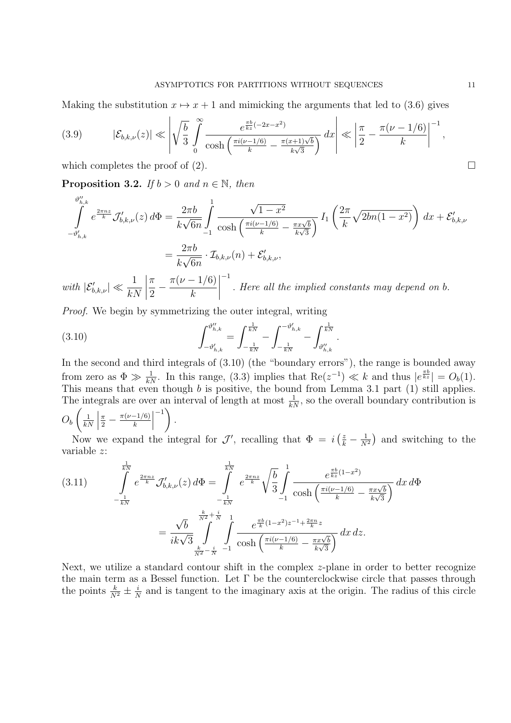Making the substitution  $x \mapsto x + 1$  and mimicking the arguments that led to (3.6) gives

$$
(3.9) \qquad \left| \mathcal{E}_{b,k,\nu}(z) \right| \ll \left| \sqrt{\frac{b}{3}} \int_{0}^{\infty} \frac{e^{\frac{\pi b}{kz}(-2x-x^2)}}{\cosh\left(\frac{\pi i(\nu-1/6)}{k} - \frac{\pi(x+1)\sqrt{b}}{k\sqrt{3}}\right)} dx \right| \ll \left| \frac{\pi}{2} - \frac{\pi(\nu-1/6)}{k} \right|^{-1},
$$

which completes the proof of (2).  $\Box$ 

**Proposition 3.2.** If  $b > 0$  and  $n \in \mathbb{N}$ , then

$$
\int_{-\vartheta'_{h,k}}^{\vartheta''_{h,k}} e^{\frac{2\pi nz}{k}} \mathcal{J}'_{b,k,\nu}(z) d\Phi = \frac{2\pi b}{k\sqrt{6n}} \int_{-1}^{1} \frac{\sqrt{1-x^2}}{\cosh\left(\frac{\pi i(\nu-1/6)}{k} - \frac{\pi x \sqrt{b}}{k\sqrt{3}}\right)} I_1\left(\frac{2\pi}{k} \sqrt{2bn(1-x^2)}\right) dx + \mathcal{E}'_{b,k,\nu}
$$

$$
= \frac{2\pi b}{k\sqrt{6n}} \cdot \mathcal{I}_{b,k,\nu}(n) + \mathcal{E}'_{b,k,\nu},
$$
1  $|\pi \pi(\nu-1/6)|^{-1}$ 

with  $|\mathcal{E}'_{b,k,\nu}| \ll \frac{1}{kN}$  $\begin{array}{c} \begin{array}{c} \begin{array}{c} \begin{array}{c} \end{array} \\ \end{array} \\ \begin{array}{c} \end{array} \end{array} \end{array}$  $\frac{\pi}{2}-\frac{\pi(\nu-1/6)}{k}$  $\begin{array}{c} \begin{array}{c} \begin{array}{c} \begin{array}{c} \end{array}\\ \end{array} \end{array} \end{array}$ . Here all the implied constants may depend on b.

Proof. We begin by symmetrizing the outer integral, writing

(3.10) 
$$
\int_{-\vartheta'_{h,k}}^{\vartheta''_{h,k}} = \int_{-\frac{1}{kN}}^{\frac{1}{kN}} - \int_{-\frac{1}{kN}}^{-\vartheta'_{h,k}} - \int_{\vartheta''_{h,k}}^{\frac{1}{kN}}.
$$

In the second and third integrals of (3.10) (the "boundary errors"), the range is bounded away from zero as  $\Phi \gg \frac{1}{kN}$ . In this range, (3.3) implies that  $\text{Re}(z^{-1}) \ll k$  and thus  $|e^{\frac{\pi b}{kz}}| = O_b(1)$ . This means that even though b is positive, the bound from Lemma 3.1 part (1) still applies. The integrals are over an interval of length at most  $\frac{1}{kN}$ , so the overall boundary contribution is  $O_b\left(\frac{1}{k}\right)$  $\frac{1}{kN}$  $\frac{\pi}{2} - \frac{\pi(\nu-1/6)}{k}$  $\left( \begin{array}{c} -1 \\ 1 \end{array} \right)$ .

Now we expand the integral for  $\mathcal{J}'$ , recalling that  $\Phi = i \left( \frac{z}{k} - \frac{1}{N^2} \right)$  and switching to the variable z:

$$
(3.11) \qquad \int_{-\frac{1}{kN}}^{\frac{1}{kN}} e^{\frac{2\pi nz}{k}} \mathcal{J}'_{b,k,\nu}(z) d\Phi = \int_{-\frac{1}{kN}}^{\frac{1}{kN}} e^{\frac{2\pi nz}{k}} \sqrt{\frac{b}{3}} \int_{-1}^{1} \frac{e^{\frac{\pi b}{kz}(1-x^2)}}{\cosh\left(\frac{\pi i(\nu-1/6)}{k} - \frac{\pi x \sqrt{b}}{k\sqrt{3}}\right)} dx d\Phi
$$

$$
= \frac{\sqrt{b}}{ik\sqrt{3}} \int_{\frac{k}{N^2} - \frac{i}{N}}^{\frac{k}{N^2} + \frac{i}{N}} \int_{-1}^{1} \frac{e^{\frac{\pi b}{k}(1-x^2)z^{-1} + \frac{2\pi n}{k}z}}{\cosh\left(\frac{\pi i(\nu-1/6)}{k} - \frac{\pi x \sqrt{b}}{k\sqrt{3}}\right)} dx dz.
$$

Next, we utilize a standard contour shift in the complex z-plane in order to better recognize the main term as a Bessel function. Let  $\Gamma$  be the counterclockwise circle that passes through the points  $\frac{k}{N^2} \pm \frac{i}{N}$  and is tangent to the imaginary axis at the origin. The radius of this circle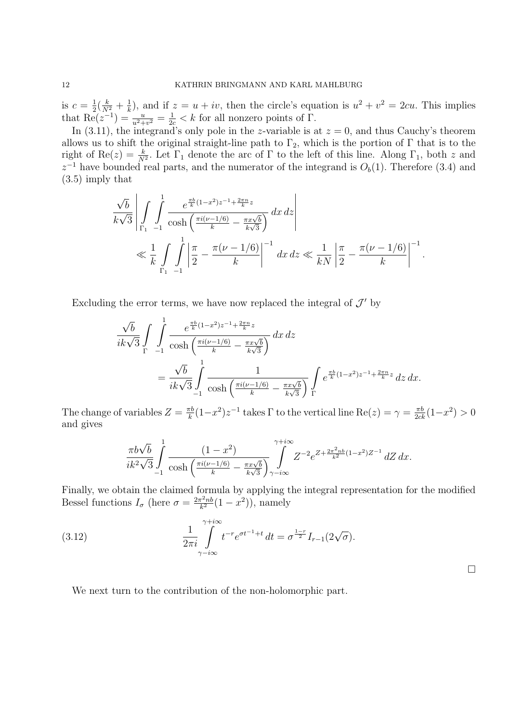is  $c = \frac{1}{2}(\frac{k}{N^2} + \frac{1}{k})$ , and if  $z = u + iv$ , then the circle's equation is  $u^2 + v^2 = 2cu$ . This implies that  $\text{Re}(z^{-1}) = \frac{u}{u^2+v^2} = \frac{1}{2c} < k$  for all nonzero points of  $\Gamma$ .

In (3.11), the integrand's only pole in the z-variable is at  $z = 0$ , and thus Cauchy's theorem allows us to shift the original straight-line path to  $\Gamma_2$ , which is the portion of  $\Gamma$  that is to the right of Re(z) =  $\frac{k}{N^2}$ . Let  $\Gamma_1$  denote the arc of  $\Gamma$  to the left of this line. Along  $\Gamma_1$ , both z and  $z^{-1}$  have bounded real parts, and the numerator of the integrand is  $O_b(1)$ . Therefore (3.4) and (3.5) imply that

$$
\frac{\sqrt{b}}{k\sqrt{3}} \left| \int_{\Gamma_1} \int_{-1}^1 \frac{e^{\frac{\pi b}{k}(1-x^2)z^{-1} + \frac{2\pi n}{k}z}}{\cosh\left(\frac{\pi i(\nu-1/6)}{k} - \frac{\pi x\sqrt{b}}{k\sqrt{3}}\right)} dx dz \right|
$$
  
\$\ll \frac{1}{k} \int\_{\Gamma\_1} \int\_{-1}^1 \left| \frac{\pi}{2} - \frac{\pi(\nu-1/6)}{k} \right|^{-1} dx dz \ll \frac{1}{kN} \left| \frac{\pi}{2} - \frac{\pi(\nu-1/6)}{k} \right|^{-1}\$.

Excluding the error terms, we have now replaced the integral of  $\mathcal{J}'$  by

$$
\frac{\sqrt{b}}{ik\sqrt{3}} \int_{\Gamma} \int_{-1}^{1} \frac{e^{\frac{\pi b}{k}(1-x^2)z^{-1} + \frac{2\pi n}{k}z}}{\cosh\left(\frac{\pi i(\nu-1/6)}{k} - \frac{\pi x\sqrt{b}}{k\sqrt{3}}\right)} dx dz
$$
\n
$$
= \frac{\sqrt{b}}{ik\sqrt{3}} \int_{-1}^{1} \frac{1}{\cosh\left(\frac{\pi i(\nu-1/6)}{k} - \frac{\pi x\sqrt{b}}{k\sqrt{3}}\right)} \int_{\Gamma} e^{\frac{\pi b}{k}(1-x^2)z^{-1} + \frac{2\pi n}{k}z} dz dx.
$$

The change of variables  $Z = \frac{\pi b}{k} (1 - x^2) z^{-1}$  takes  $\Gamma$  to the vertical line  $\text{Re}(z) = \gamma = \frac{\pi b}{2ck} (1 - x^2) > 0$ and gives

$$
\frac{\pi b\sqrt{b}}{ik^2\sqrt{3}} \int_{-1}^1 \frac{(1-x^2)}{\cosh\left(\frac{\pi i(\nu-1/6)}{k} - \frac{\pi x\sqrt{b}}{k\sqrt{3}}\right)} \int_{\gamma-i\infty}^{\gamma+i\infty} Z^{-2} e^{Z + \frac{2\pi^2 nb}{k^2}(1-x^2)Z^{-1}} dZ \, dx.
$$

Finally, we obtain the claimed formula by applying the integral representation for the modified Bessel functions  $I_{\sigma}$  (here  $\sigma = \frac{2\pi^2 nb}{k^2}(1-x^2)$ ), namely

(3.12) 
$$
\frac{1}{2\pi i} \int_{\gamma - i\infty}^{\gamma + i\infty} t^{-r} e^{\sigma t^{-1} + t} dt = \sigma^{\frac{1-r}{2}} I_{r-1}(2\sqrt{\sigma}).
$$

 $\Box$ 

We next turn to the contribution of the non-holomorphic part.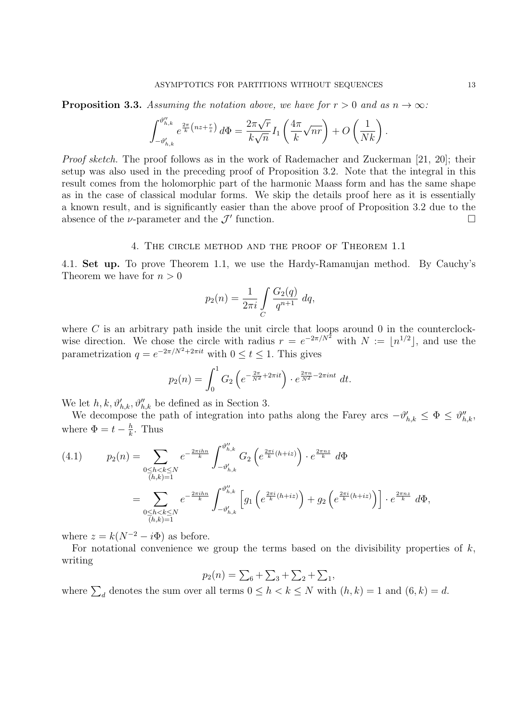**Proposition 3.3.** Assuming the notation above, we have for  $r > 0$  and as  $n \to \infty$ :

$$
\int_{-\vartheta'_{h,k}}^{\vartheta''_{h,k}} e^{\frac{2\pi}{k} \left(nz + \frac{r}{z}\right)} d\Phi = \frac{2\pi\sqrt{r}}{k\sqrt{n}} I_1\left(\frac{4\pi}{k}\sqrt{nr}\right) + O\left(\frac{1}{Nk}\right).
$$

Proof sketch. The proof follows as in the work of Rademacher and Zuckerman [21, 20]; their setup was also used in the preceding proof of Proposition 3.2. Note that the integral in this result comes from the holomorphic part of the harmonic Maass form and has the same shape as in the case of classical modular forms. We skip the details proof here as it is essentially a known result, and is significantly easier than the above proof of Proposition 3.2 due to the absence of the  $\nu$ -parameter and the  $\mathcal{J}'$  function.  $\Box$ 

#### 4. The circle method and the proof of Theorem 1.1

4.1. **Set up.** To prove Theorem 1.1, we use the Hardy-Ramanujan method. By Cauchy's Theorem we have for  $n > 0$ 

$$
p_2(n) = \frac{1}{2\pi i} \int\limits_C \frac{G_2(q)}{q^{n+1}} dq,
$$

where  $C$  is an arbitrary path inside the unit circle that loops around  $0$  in the counterclockwise direction. We chose the circle with radius  $r = e^{-2\pi/N^2}$  with  $N := \lfloor n^{1/2} \rfloor$ , and use the parametrization  $q = e^{-2\pi/N^2 + 2\pi it}$  with  $0 \le t \le 1$ . This gives

$$
p_2(n) = \int_0^1 G_2 \left( e^{-\frac{2\pi}{N^2} + 2\pi it} \right) \cdot e^{\frac{2\pi n}{N^2} - 2\pi int} dt.
$$

We let  $h, k, \vartheta'_{h,k}, \vartheta''_{h,k}$  be defined as in Section 3.

We decompose the path of integration into paths along the Farey arcs  $-\vartheta'_{h,k} \leq \Phi \leq \vartheta''_{h,k}$ , where  $\Phi = t - \frac{h}{k}$ . Thus

$$
(4.1) \t p_2(n) = \sum_{\substack{0 \le h < k \le N \\ (h,k)=1}} e^{-\frac{2\pi i h n}{k}} \int_{-\vartheta'_{h,k}}^{\vartheta''_{h,k}} G_2\left(e^{\frac{2\pi i}{k}(h+iz)}\right) \cdot e^{\frac{2\pi n z}{k}} d\Phi
$$
  

$$
= \sum_{\substack{0 \le h < k \le N \\ (h,k)=1}} e^{-\frac{2\pi i h n}{k}} \int_{-\vartheta'_{h,k}}^{\vartheta''_{h,k}} \left[ g_1\left(e^{\frac{2\pi i}{k}(h+iz)}\right) + g_2\left(e^{\frac{2\pi i}{k}(h+iz)}\right) \right] \cdot e^{\frac{2\pi n z}{k}} d\Phi,
$$

where  $z = k(N^{-2} - i\Phi)$  as before.

For notational convenience we group the terms based on the divisibility properties of  $k$ , writing

$$
p_2(n) = \sum_6 + \sum_3 + \sum_2 + \sum_1,
$$

where  $\sum_{d}$  denotes the sum over all terms  $0 \leq h \leq k \leq N$  with  $(h, k) = 1$  and  $(6, k) = d$ .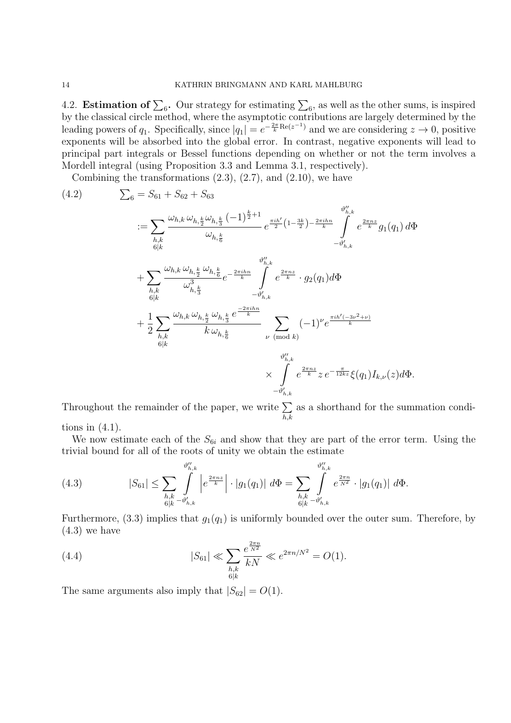4.2. **Estimation of**  $\sum_{6}$ . Our strategy for estimating  $\sum_{6}$ , as well as the other sums, is inspired by the classical circle method, where the asymptotic contributions are largely determined by the leading powers of  $q_1$ . Specifically, since  $|q_1| = e^{-\frac{2\pi}{k} \text{Re}(z^{-1})}$  and we are considering  $z \to 0$ , positive exponents will be absorbed into the global error. In contrast, negative exponents will lead to principal part integrals or Bessel functions depending on whether or not the term involves a Mordell integral (using Proposition 3.3 and Lemma 3.1, respectively).

Combining the transformations  $(2.3)$ ,  $(2.7)$ , and  $(2.10)$ , we have

(4.2) 
$$
\sum_{6} = S_{61} + S_{62} + S_{63}
$$
\n
$$
:= \sum_{h,k} \frac{\omega_{h,k} \omega_{h,\frac{k}{2}} \omega_{h,\frac{k}{3}} (-1)^{\frac{k}{2}+1}}{\omega_{h,\frac{k}{6}}} e^{\frac{\pi i h'}{2} (1-\frac{3k}{2}) - \frac{2\pi i h n}{k}} \int_{-\vartheta'_{h,k}}^{\vartheta''_{h,k}} e^{\frac{2\pi n z}{k}} g_1(q_1) d\Phi
$$
\n
$$
+ \sum_{h,k} \frac{\omega_{h,k} \omega_{h,\frac{k}{2}} \omega_{h,\frac{k}{6}}}{\omega_{h,\frac{k}{3}}^3} e^{-\frac{2\pi i h n}{k}} \int_{-\vartheta'_{h,k}}^{\vartheta''_{h,k}} e^{\frac{2\pi n z}{k}} \cdot g_2(q_1) d\Phi
$$
\n
$$
+ \frac{1}{2} \sum_{h,k} \frac{\omega_{h,k} \omega_{h,\frac{k}{2}} \omega_{h,\frac{k}{2}} \omega_{h,\frac{k}{3}}}{k \omega_{h,\frac{k}{6}}} e^{-\frac{2\pi i h n}{k}}
$$
\n
$$
\times \int_{\substack{\vartheta''_{h,k} \\ \vartheta''_{h,k}}}^{\vartheta''_{h,k}} e^{\frac{2\pi n z}{k}} z e^{-\frac{\pi}{12kz}} \xi(q_1) I_{k,\nu}(z) d\Phi.
$$

Throughout the remainder of the paper, we write  $\Sigma$  $h,k$ as a shorthand for the summation condi-

tions in  $(4.1)$ .

We now estimate each of the  $S_{6i}$  and show that they are part of the error term. Using the trivial bound for all of the roots of unity we obtain the estimate

(4.3) 
$$
|S_{61}| \leq \sum_{\substack{h,k \ b(k-\vartheta'_{h,k})}} \int_{6|k-\vartheta'_{h,k}}^{\vartheta''_{h,k}} \left| e^{\frac{2\pi nz}{k}} \right| \cdot |g_1(q_1)| \ d\Phi = \sum_{\substack{h,k \ b(k-\vartheta'_{h,k})}} \int_{6|k-\vartheta'_{h,k}}^{\vartheta''_{h,k}} e^{\frac{2\pi n}{N^2}} \cdot |g_1(q_1)| \ d\Phi.
$$

Furthermore, (3.3) implies that  $g_1(q_1)$  is uniformly bounded over the outer sum. Therefore, by  $(4.3)$  we have

(4.4) 
$$
|S_{61}| \ll \sum_{\substack{h,k \ \ 6|k}} \frac{e^{\frac{2\pi n}{N^2}}}{kN} \ll e^{2\pi n/N^2} = O(1).
$$

The same arguments also imply that  $|S_{62}| = O(1)$ .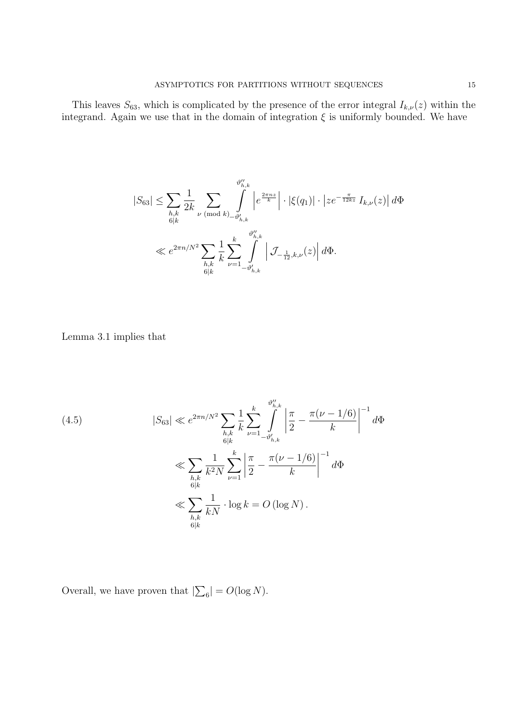This leaves  $S_{63}$ , which is complicated by the presence of the error integral  $I_{k,\nu}(z)$  within the integrand. Again we use that in the domain of integration  $\xi$  is uniformly bounded. We have

$$
|S_{63}| \leq \sum_{\substack{h,k \ b(k)}} \frac{1}{2k} \sum_{\substack{\nu \pmod{k}} \bigsqcup_{-\vartheta'_{h,k} \ \vartheta''_{h,k} \\ \theta|k}} \int_{-\vartheta'_{h,k}}^{\vartheta''_{h,k}} \left| e^{\frac{2\pi n z}{k}} \right| \cdot |\xi(q_1)| \cdot \left| z e^{-\frac{\pi}{12kz}} I_{k,\nu}(z) \right| d\Phi
$$
  

$$
\ll e^{2\pi n/N^2} \sum_{\substack{h,k \ b|k}} \frac{1}{k} \sum_{\nu=1}^k \int_{-\vartheta'_{h,k}}^{\vartheta''_{h,k}} \left| \mathcal{J}_{-\frac{1}{12},k,\nu}(z) \right| d\Phi.
$$

Lemma 3.1 implies that

(4.5) 
$$
|S_{63}| \ll e^{2\pi n/N^2} \sum_{\substack{h,k \ k \in \mathbb{Z}}} \frac{1}{k} \sum_{\nu=1}^k \int_{-\vartheta'_{h,k}}^{\vartheta''_{h,k}} \left| \frac{\pi}{2} - \frac{\pi(\nu - 1/6)}{k} \right|^{-1} d\Phi
$$
  

$$
\ll \sum_{\substack{h,k \ k \in \mathbb{N}}} \frac{1}{k^2 N} \sum_{\nu=1}^k \left| \frac{\pi}{2} - \frac{\pi(\nu - 1/6)}{k} \right|^{-1} d\Phi
$$
  

$$
\ll \sum_{\substack{h,k \ k \in \mathbb{N}}} \frac{1}{kN} \cdot \log k = O(\log N).
$$

Overall, we have proven that  $|\sum_6| = O(\log N)$ .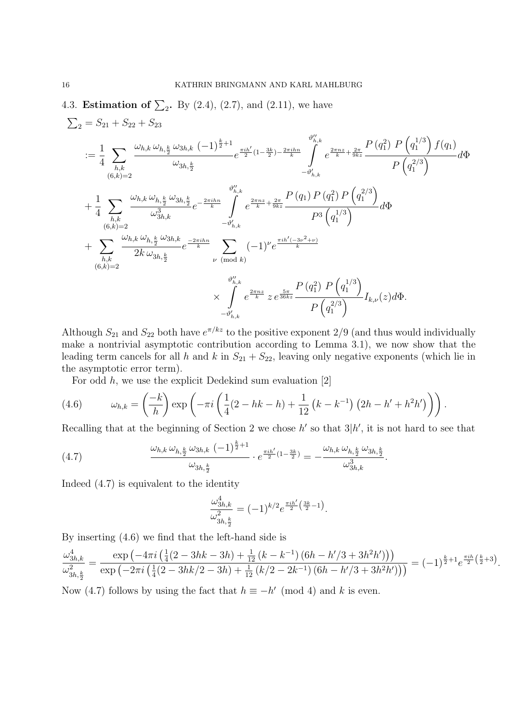4.3. **Estimation of**  $\sum_2$ . By (2.4), (2.7), and (2.11), we have

$$
\sum_{2} = S_{21} + S_{22} + S_{23}
$$
\n
$$
:= \frac{1}{4} \sum_{h,k} \frac{\omega_{h,k} \omega_{h,\frac{k}{2}} \omega_{3h,k} (-1)^{\frac{k}{2}+1}}{\omega_{3h,\frac{k}{2}}} e^{\frac{\pi i h'}{2}(1-\frac{3k}{2})-\frac{2\pi i h n}{k}} \int_{-\theta'_{h,k}}^{\theta'_{h,k}} e^{\frac{2\pi n z}{k}+\frac{2\pi}{9kz}} \frac{P(q_1^2) P(q_1^{1/3}) f(q_1)}{P(q_1^{2/3})} d\Phi
$$
\n
$$
+ \frac{1}{4} \sum_{h,k} \frac{\omega_{h,k} \omega_{h,\frac{k}{2}} \omega_{3h,\frac{k}{2}}}{\omega_{3h,k}^3} e^{-\frac{2\pi i h n}{k}} \int_{-\theta'_{h,k}}^{\theta''_{h,k}} e^{\frac{2\pi n z}{k}+\frac{2\pi}{9kz}} \frac{P(q_1) P(q_1^2) P(q_1^{2/3})}{P^3 (q_1^{1/3})} d\Phi
$$
\n
$$
+ \sum_{h,k} \frac{\omega_{h,k} \omega_{h,\frac{k}{2}} \omega_{3h,k}}{2k \omega_{3h,\frac{k}{2}}} e^{\frac{-2\pi i h n}{k}} \sum_{\nu \pmod{k}} (-1)^{\nu} e^{\frac{\pi i h'(-3\nu^2+\nu)}{k}}
$$
\n
$$
\times \int_{-\theta'_{h,k}}^{\theta''_{h,k}} e^{\frac{2\pi n z}{k}} z e^{\frac{5\pi}{36kz}} \frac{P(q_1^2) P(q_1^{1/3})}{P(q_1^{2/3})} I_{k,\nu}(z) d\Phi.
$$

Although  $S_{21}$  and  $S_{22}$  both have  $e^{\pi/kz}$  to the positive exponent 2/9 (and thus would individually make a nontrivial asymptotic contribution according to Lemma 3.1), we now show that the leading term cancels for all h and k in  $S_{21} + S_{22}$ , leaving only negative exponents (which lie in the asymptotic error term).

For odd h, we use the explicit Dedekind sum evaluation [2]

(4.6) 
$$
\omega_{h,k} = \left(\frac{-k}{h}\right) \exp\left(-\pi i \left(\frac{1}{4}(2-hk-h) + \frac{1}{12}(k-k^{-1})(2h-h'+h^2h')\right)\right).
$$

Recalling that at the beginning of Section 2 we chose  $h'$  so that  $3|h'$ , it is not hard to see that

(4.7) 
$$
\frac{\omega_{h,k} \omega_{h,\frac{k}{2}} \omega_{3h,k} (-1)^{\frac{k}{2}+1}}{\omega_{3h,\frac{k}{2}}} \cdot e^{\frac{\pi i h'}{2}(1-\frac{3k}{2})} = -\frac{\omega_{h,k} \omega_{h,\frac{k}{2}} \omega_{3h,\frac{k}{2}}}{\omega_{3h,k}^3}.
$$

Indeed (4.7) is equivalent to the identity

$$
\frac{\omega_{3h,k}^4}{\omega_{3h,\frac{k}{2}}^2} = (-1)^{k/2} e^{\frac{\pi i h'}{2} \left(\frac{3k}{2} - 1\right)}.
$$

By inserting (4.6) we find that the left-hand side is

$$
\frac{\omega_{3h,k}^4}{\omega_{3h,\frac{k}{2}}^2} = \frac{\exp\left(-4\pi i \left(\frac{1}{4}(2-3hk-3h) + \frac{1}{12}\left(k-k^{-1}\right)\left(6h - h'/3 + 3h^2h'\right)\right)\right)}{\exp\left(-2\pi i \left(\frac{1}{4}(2-3hk/2-3h) + \frac{1}{12}\left(k/2 - 2k^{-1}\right)\left(6h - h'/3 + 3h^2h'\right)\right)\right)} = (-1)^{\frac{k}{2}+1}e^{\frac{\pi i h}{2}\left(\frac{k}{2}+3\right)}.
$$

Now (4.7) follows by using the fact that  $h \equiv -h' \pmod{4}$  and k is even.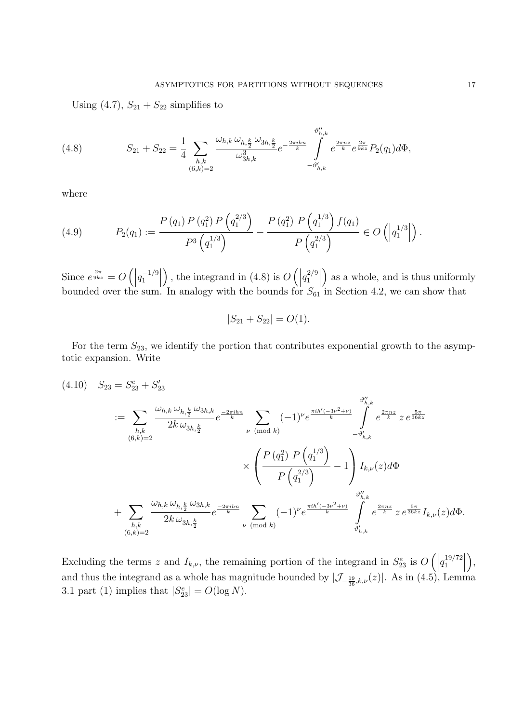Using  $(4.7)$ ,  $S_{21} + S_{22}$  simplifies to

(4.8) 
$$
S_{21} + S_{22} = \frac{1}{4} \sum_{h,k} \frac{\omega_{h,k} \omega_{h,\frac{k}{2}} \omega_{3h,\frac{k}{2}}}{\omega_{3h,k}^3} e^{-\frac{2\pi i h n}{k}} \int_{-\vartheta'_{h,k}}^{\vartheta''_{h,k}} e^{\frac{2\pi n z}{k}} e^{\frac{2\pi}{9kz}} P_2(q_1) d\Phi,
$$

where

(4.9) 
$$
P_2(q_1) := \frac{P(q_1) P(q_1^2) P(q_1^{2/3})}{P^3(q_1^{1/3})} - \frac{P(q_1^2) P(q_1^{1/3}) f(q_1)}{P(q_1^{2/3})} \in O\left(|q_1^{1/3}| \right).
$$

Since  $e^{\frac{2\pi}{9kz}} = O\left(\left|q_1^{-1/9}\right|\right)$ , the integrand in (4.8) is  $O\left(\left|q_1^{2/9}\right|\right)$  as a whole, and is thus uniformly bounded over the sum. In analogy with the bounds for  $S_{61}$  in Section 4.2, we can show that

$$
|S_{21} + S_{22}| = O(1).
$$

For the term  $S_{23}$ , we identify the portion that contributes exponential growth to the asymptotic expansion. Write

 $(S_{23} = S_{23}^e + S_{23}^{\prime})$  $:= \sum$  $h,k$  $(6,k)=2$  $\omega_{h,k}\,\omega_{h,\frac{k}{2}}\,\omega_{3h,k}$  $2k\,\omega_{3h,\frac{k}{2}}$  $e^{\frac{-2\pi i h n}{k}}$  $\nu \pmod{k}$  $(-1)^{\nu} e^{\frac{\pi i h'(-3\nu^2+\nu)}{k}}$  $\int_{h,k}^{\theta''_{h,k}}$  $-\vartheta'_{\scriptscriptstyle 1}$  $h,k$  $e^{\frac{2\pi nz}{k}}$  z  $e^{\frac{5\pi}{36kz}}$ ×  $\sqrt{2}$  $\sqrt{2}$  $P(q_1^2) P(q_1^{1/3})$  $\frac{1}{P(q_1^{2/3})} - 1$  $\setminus$  $\int I_{k,\nu}(z)d\Phi$  $+$   $\Sigma$  $h,k$ <br>(6,k)=2  $\omega_{h,k}\,\omega_{h,\frac{k}{2}}\,\omega_{3h,k}$  $2k\,\omega_{3h,\frac{k}{2}}$  $e^{\frac{-2\pi i h n}{k}}$  $\nu \pmod{k}$  $(-1)^{\nu} e^{\frac{\pi i h'(-3\nu^2+\nu)}{k}}$  $\int_{h,k}^{\theta''_{h,k}}$  $-\vartheta_{h,k}'$  $e^{\frac{2\pi nz}{k}} \, z\, e^{\frac{5\pi}{36 kz}} I_{k,\nu}(z) d\Phi.$ 

Excluding the terms z and  $I_{k,\nu}$ , the remaining portion of the integrand in  $S_{23}^e$  is  $O\left(\left|q_1^{19/72}\right|$  $\big),$ and thus the integrand as a whole has magnitude bounded by  $|\mathcal{J}_{-\frac{19}{36},k,\nu}(z)|$ . As in (4.5), Lemma 3.1 part (1) implies that  $|S_{23}^e| = O(\log N)$ .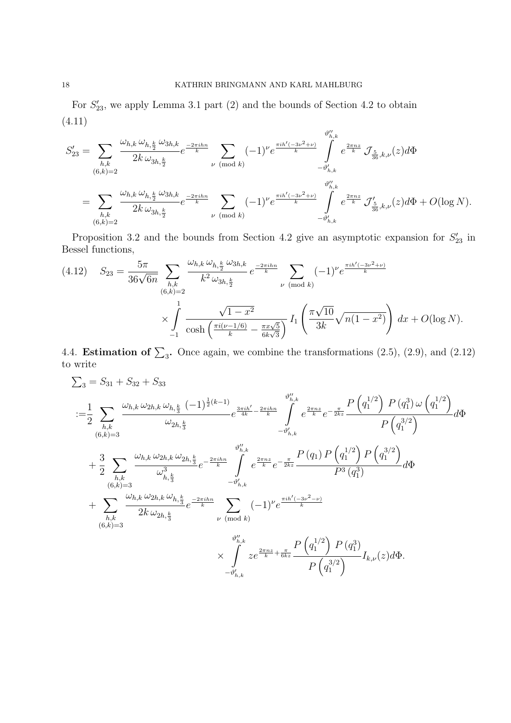For  $S'_{23}$ , we apply Lemma 3.1 part (2) and the bounds of Section 4.2 to obtain (4.11)

$$
S'_{23} = \sum_{h,k} \frac{\omega_{h,k} \omega_{h,\frac{k}{2}} \omega_{3h,k}}{2k \omega_{3h,\frac{k}{2}}} e^{\frac{-2\pi i h n}{k}} \sum_{\nu \pmod{k}} (-1)^{\nu} e^{\frac{\pi i h'(-3\nu^{2}+\nu)}{k}} \int_{-\vartheta'_{h,k}}^{\vartheta''_{h,k}} e^{\frac{2\pi n z}{k}} \mathcal{J}_{\frac{5}{36},k,\nu}(z) d\Phi
$$
  

$$
= \sum_{h,k} \frac{\omega_{h,k} \omega_{h,\frac{k}{2}} \omega_{3h,k}}{2k \omega_{3h,\frac{k}{2}}} e^{\frac{-2\pi i h n}{k}} \sum_{\nu \pmod{k}} (-1)^{\nu} e^{\frac{\pi i h'(-3\nu^{2}+\nu)}{k}} \int_{-\vartheta'_{h,k}}^{\vartheta''_{h,k}} e^{\frac{2\pi n z}{k}} \mathcal{J}'_{\frac{5}{36},k,\nu}(z) d\Phi + O(\log N).
$$

Proposition 3.2 and the bounds from Section 4.2 give an asymptotic expansion for  $S'_{23}$  in Bessel functions,

$$
(4.12) \quad S_{23} = \frac{5\pi}{36\sqrt{6n}} \sum_{h,k} \frac{\omega_{h,k} \omega_{h,\frac{k}{2}} \omega_{3h,k}}{k^2 \omega_{3h,\frac{k}{2}}} e^{\frac{-2\pi i h n}{k}} \sum_{\nu \pmod{k}} (-1)^{\nu} e^{\frac{\pi i h'(-3\nu^2 + \nu)}{k}}
$$

$$
\times \int_{-1}^{1} \frac{\sqrt{1 - x^2}}{\cosh\left(\frac{\pi i (\nu - 1/6)}{k} - \frac{\pi x \sqrt{5}}{6k\sqrt{3}}\right)} I_1\left(\frac{\pi \sqrt{10}}{3k} \sqrt{n(1 - x^2)}\right) dx + O(\log N).
$$

4.4. **Estimation of**  $\Sigma_3$ . Once again, we combine the transformations (2.5), (2.9), and (2.12) to write

$$
\begin{split} &\sum_3 = S_{31} + S_{32} + S_{33} \\ &\qquad \qquad : = \frac{1}{2} \sum_{h,k} \frac{\omega_{h,k} \,\omega_{2h,k} \,\omega_{h,\frac{k}{3}} \,\, (-1)^{\frac{1}{2}(k-1)}}{\omega_{2h,\frac{k}{3}}} e^{\frac{3\pi i h'}{4k} - \frac{2\pi i h n}{k}} \int_{-\vartheta_{h,k}'}^{\vartheta_{h,k}'} e^{\frac{2\pi n z}{k}} e^{-\frac{\pi}{2kz}} \frac{P\left(q_1^{1/2}\right) \, P\left(q_1^3\right) \omega \left(q_1^{1/2}\right)}{P\left(q_1^{3/2}\right)} d\Phi \\&+ \frac{3}{2} \sum_{\substack{h,k \\ (6,k)=3}} \frac{\omega_{h,k} \,\omega_{2h,k} \,\omega_{2h,\frac{k}{3}}}{\omega_{h,\frac{k}{3}}^3} e^{-\frac{2\pi i h n}{k}} \int_{-\vartheta_{h,k}'}^{\vartheta_{h,k}'} e^{\frac{2\pi n z}{k}} e^{-\frac{\pi}{2kz}} \frac{P\left(q_1\right) \, P\left(q_1^{1/2}\right) \, P\left(q_1^{3/2}\right)}{P^3\left(q_1^3\right)} d\Phi \\&+ \sum_{\substack{h,k \\ (6,k)=3}} \frac{\omega_{h,k} \,\omega_{2h,k} \,\omega_{h,\frac{k}{3}}}{2k \,\omega_{2h,\frac{k}{3}}} e^{\frac{-2\pi i h n}{k}} \sum_{\nu \pmod{k}} (-1)^{\nu} e^{\frac{\pi i h'(-3\nu^2 - \nu)}{k}} \\&\times \int_{-\vartheta_{h,k}'}^{\vartheta_{h,k}''} z e^{\frac{2\pi n z}{k} + \frac{\pi}{6kz}} \frac{P\left(q_1^{1/2}\right) \, P\left(q_1^3\right)}{P\left(q_1^{3/2}\right)} I_{k,\nu}(z) d\Phi. \end{split}
$$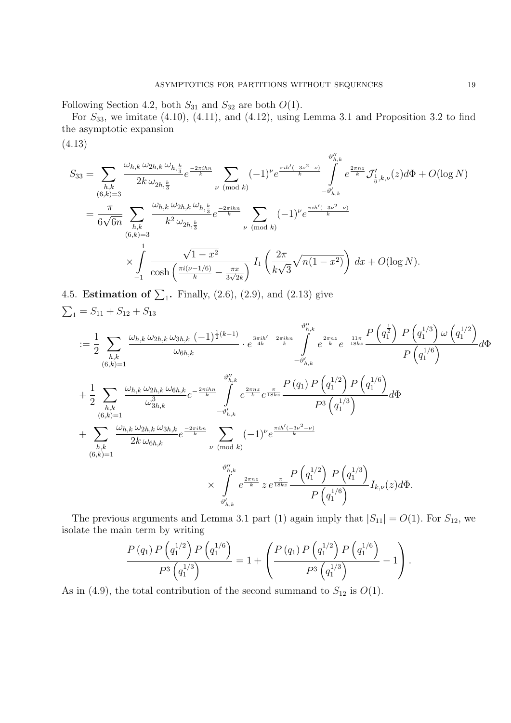Following Section 4.2, both  $S_{31}$  and  $S_{32}$  are both  $O(1)$ .

For  $S_{33}$ , we imitate (4.10), (4.11), and (4.12), using Lemma 3.1 and Proposition 3.2 to find the asymptotic expansion

(4.13)

$$
S_{33} = \sum_{\substack{h,k \ (6,k)=3}} \frac{\omega_{h,k} \omega_{2h,k} \omega_{h,\frac{k}{3}}}{2k \omega_{2h,\frac{k}{3}}} e^{\frac{-2\pi i h n}{k}} \sum_{\nu \pmod{k}} (-1)^{\nu} e^{\frac{\pi i h'(-3\nu^{2}-\nu)}{k}} \int_{-\vartheta'_{h,k}}^{\vartheta''_{h,k}} e^{\frac{2\pi n z}{k}} \mathcal{I}'_{\frac{1}{6},k,\nu}(z) d\Phi + O(\log N)
$$
  

$$
= \frac{\pi}{6\sqrt{6n}} \sum_{\substack{h,k \ (6,k)=3}} \frac{\omega_{h,k} \omega_{2h,k} \omega_{h,\frac{k}{3}}}{k^{2} \omega_{2h,\frac{k}{3}}} e^{\frac{-2\pi i h n}{k}} \sum_{\nu \pmod{k}} (-1)^{\nu} e^{\frac{\pi i h'(-3\nu^{2}-\nu)}{k}}
$$
  

$$
\times \int_{-1}^{1} \frac{\sqrt{1-x^{2}}}{\cosh\left(\frac{\pi i(\nu-1/6)}{k}-\frac{\pi x}{3\sqrt{2}k}\right)} I_{1}\left(\frac{2\pi}{k\sqrt{3}}\sqrt{n(1-x^{2})}\right) dx + O(\log N).
$$

4.5. **Estimation of**  $\sum_1$ . Finally, (2.6), (2.9), and (2.13) give  $\sum_1 = S_{11} + S_{12} + S_{13}$ 

$$
:=\frac{1}{2}\sum_{h,k}\frac{\omega_{h,k}\,\omega_{2h,k}\,\omega_{3h,k}(-1)^{\frac{1}{2}(k-1)}}{\omega_{6h,k}}\cdot e^{\frac{3\pi i h'}{4k}-\frac{2\pi i h n}{k}}\int_{-\vartheta'_{h,k}}^{\vartheta''_{h,k}}e^{\frac{2\pi n z}{k}}e^{-\frac{11\pi}{18kz}}\frac{P\left(q_1^{\frac{1}{2}}\right)\,P\left(q_1^{1/3}\right)\,\omega\left(q_1^{1/2}\right)}{P\left(q_1^{1/6}\right)}d\Phi
$$
  
+
$$
\frac{1}{2}\sum_{h,k}\frac{\omega_{h,k}\,\omega_{2h,k}\,\omega_{6h,k}}{\omega_{3h,k}^3}e^{-\frac{2\pi i h n}{k}}\int_{-\vartheta'_{h,k}}^{\vartheta''_{h,k}}e^{\frac{2\pi n z}{k}}e^{\frac{\pi}{18kz}}\frac{P\left(q_1\right)\,P\left(q_1^{1/2}\right)\,P\left(q_1^{1/6}\right)}{P^3\left(q_1^{1/3}\right)}d\Phi
$$
  
+
$$
\sum_{h,k}\frac{\omega_{h,k}\,\omega_{2h,k}\,\omega_{3h,k}}{2k\,\omega_{6h,k}}e^{\frac{-2\pi i h n}{k}}\sum_{\nu\pmod{k}}(-1)^{\nu}e^{\frac{\pi i h'(-3\nu^2-\nu)}{k}}
$$
  

$$
\times\int_{-\vartheta'_{h,k}}^{\vartheta''_{h,k}}e^{\frac{2\pi n z}{k}z\,e^{\frac{\pi}{18kz}}}\frac{P\left(q_1^{1/2}\right)\,P\left(q_1^{1/3}\right)}{P\left(q_1^{1/6}\right)}I_{k,\nu}(z)d\Phi.
$$

The previous arguments and Lemma 3.1 part (1) again imply that  $|S_{11}| = O(1)$ . For  $S_{12}$ , we isolate the main term by writing

$$
\frac{P(q_1) P(q_1^{1/2}) P(q_1^{1/6})}{P^3(q_1^{1/3})} = 1 + \left(\frac{P(q_1) P(q_1^{1/2}) P(q_1^{1/6})}{P^3(q_1^{1/3})} - 1\right).
$$

As in (4.9), the total contribution of the second summand to  $S_{12}$  is  $O(1)$ .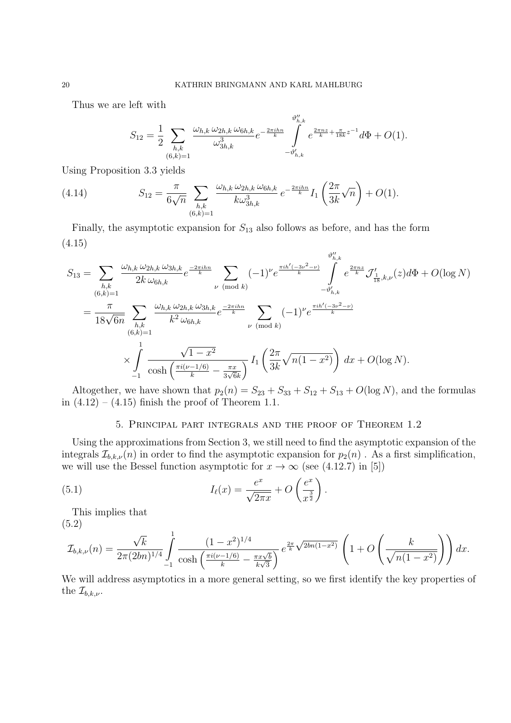Thus we are left with

$$
S_{12} = \frac{1}{2} \sum_{\substack{h,k \\ (6,k)=1}} \frac{\omega_{h,k} \omega_{2h,k} \omega_{6h,k}}{\omega_{3h,k}^3} e^{-\frac{2\pi i h n}{k}} \int_{-\vartheta'_{h,k}}^{\vartheta''_{h,k}} e^{\frac{2\pi n z}{k} + \frac{\pi}{18k} z^{-1}} d\Phi + O(1).
$$

Using Proposition 3.3 yields

(4.14) 
$$
S_{12} = \frac{\pi}{6\sqrt{n}} \sum_{\substack{h,k \ (6,k)=1}} \frac{\omega_{h,k} \omega_{2h,k} \omega_{6h,k}}{k \omega_{3h,k}^3} e^{-\frac{2\pi i h n}{k}} I_1 \left( \frac{2\pi}{3k} \sqrt{n} \right) + O(1).
$$

Finally, the asymptotic expansion for  $S_{13}$  also follows as before, and has the form (4.15)

$$
S_{13} = \sum_{h,k} \frac{\omega_{h,k} \omega_{2h,k} \omega_{3h,k}}{2k \omega_{6h,k}} e^{\frac{-2\pi i h n}{k}} \sum_{\nu \pmod{k}} (-1)^{\nu} e^{\frac{\pi i h'(-3\nu^{2}-\nu)}{k}} \int_{-\vartheta'_{h,k}}^{\vartheta''_{h,k}} e^{\frac{2\pi n z}{k}} \mathcal{J}'_{\frac{1}{18},k,\nu}(z) d\Phi + O(\log N)
$$
  
\n
$$
= \frac{\pi}{18\sqrt{6n}} \sum_{h,k} \frac{\omega_{h,k} \omega_{2h,k} \omega_{3h,k}}{k^{2} \omega_{6h,k}} e^{\frac{-2\pi i h n}{k}} \sum_{\nu \pmod{k}} (-1)^{\nu} e^{\frac{\pi i h'(-3\nu^{2}-\nu)}{k}}
$$
  
\n
$$
\times \int_{-1}^{1} \frac{\sqrt{1-x^{2}}}{\cosh\left(\frac{\pi i(\nu-1/6)}{k} - \frac{\pi x}{3\sqrt{6k}}\right)} I_{1}\left(\frac{2\pi}{3k} \sqrt{n(1-x^{2})}\right) dx + O(\log N).
$$

Altogether, we have shown that  $p_2(n) = S_{23} + S_{33} + S_{12} + S_{13} + O(\log N)$ , and the formulas in  $(4.12) - (4.15)$  finish the proof of Theorem 1.1.

# 5. Principal part integrals and the proof of Theorem 1.2

Using the approximations from Section 3, we still need to find the asymptotic expansion of the integrals  $\mathcal{I}_{b,k,\nu}(n)$  in order to find the asymptotic expansion for  $p_2(n)$ . As a first simplification, we will use the Bessel function asymptotic for  $x \to \infty$  (see (4.12.7) in [5])

(5.1) 
$$
I_{\ell}(x) = \frac{e^x}{\sqrt{2\pi x}} + O\left(\frac{e^x}{x^{\frac{3}{2}}}\right).
$$

This implies that

(5.2)

$$
\mathcal{I}_{b,k,\nu}(n) = \frac{\sqrt{k}}{2\pi(2bn)^{1/4}} \int_{-1}^{1} \frac{(1-x^2)^{1/4}}{\cosh\left(\frac{\pi i(\nu-1/6)}{k} - \frac{\pi x\sqrt{b}}{k\sqrt{3}}\right)} e^{\frac{2\pi}{k}\sqrt{2bn(1-x^2)}} \left(1 + O\left(\frac{k}{\sqrt{n(1-x^2)}}\right)\right) dx.
$$

We will address asymptotics in a more general setting, so we first identify the key properties of the  $\mathcal{I}_{b,k,\nu}$ .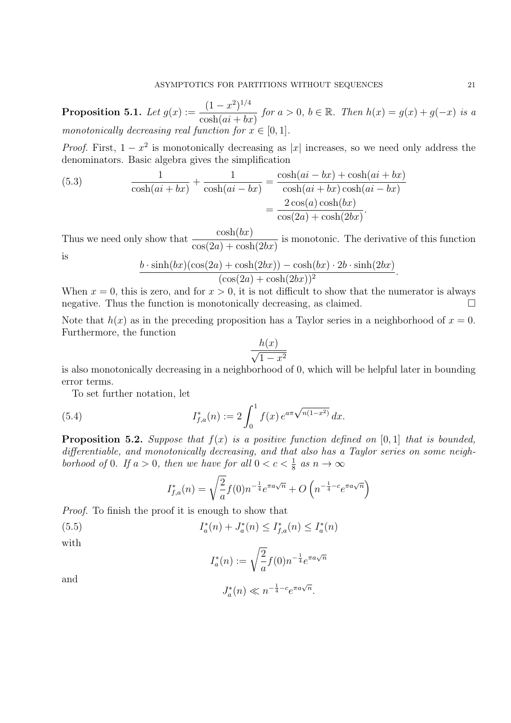**Proposition 5.1.** Let  $g(x) := \frac{(1 - x^2)^{1/4}}{1 + (1 - x^2)^{1/4}}$  $\frac{(1-x)^n}{\cosh(ai+bx)}$  for  $a > 0$ ,  $b \in \mathbb{R}$ . Then  $h(x) = g(x) + g(-x)$  is a monotonically decreasing real function for  $x \in [0, 1]$ .

*Proof.* First,  $1 - x^2$  is monotonically decreasing as |x| increases, so we need only address the denominators. Basic algebra gives the simplification

(5.3) 
$$
\frac{1}{\cosh(ai+bx)} + \frac{1}{\cosh(ai-bx)} = \frac{\cosh(ai-bx) + \cosh(ai+bx)}{\cosh(ai+bx)\cosh(ai-bx)} = \frac{2\cos(a)\cosh(bx)}{\cos(2a) + \cosh(2bx)}.
$$

Thus we need only show that  $\frac{\cosh(bx)}{c}$  $\frac{\cosh(\cos t)}{\cos(2a) + \cosh(2bx)}$  is monotonic. The derivative of this function

is

$$
\frac{b \cdot \sinh(bx)(\cos(2a) + \cosh(2bx)) - \cosh(bx) \cdot 2b \cdot \sinh(2bx)}{(\cos(2a) + \cosh(2bx))^2}.
$$

When  $x = 0$ , this is zero, and for  $x > 0$ , it is not difficult to show that the numerator is always negative. Thus the function is monotonically decreasing, as claimed.  $\Box$ 

Note that  $h(x)$  as in the preceding proposition has a Taylor series in a neighborhood of  $x = 0$ . Furthermore, the function

$$
\frac{h(x)}{\sqrt{1-x^2}}
$$

is also monotonically decreasing in a neighborhood of 0, which will be helpful later in bounding error terms.

To set further notation, let

(5.4) 
$$
I_{f,a}^*(n) := 2 \int_0^1 f(x) e^{a\pi \sqrt{n(1-x^2)}} dx.
$$

**Proposition 5.2.** Suppose that  $f(x)$  is a positive function defined on [0, 1] that is bounded, differentiable, and monotonically decreasing, and that also has a Taylor series on some neighborhood of 0. If  $a > 0$ , then we have for all  $0 < c < \frac{1}{8}$  as  $n \to \infty$ 

$$
I_{f,a}^*(n) = \sqrt{\frac{2}{a}} f(0) n^{-\frac{1}{4}} e^{\pi a \sqrt{n}} + O\left(n^{-\frac{1}{4} - c} e^{\pi a \sqrt{n}}\right)
$$

Proof. To finish the proof it is enough to show that

(5.5) 
$$
I_a^*(n) + J_a^*(n) \leq I_{f,a}^*(n) \leq I_a^*(n)
$$

with

$$
I_a^*(n) := \sqrt{\frac{2}{a}} f(0) n^{-\frac{1}{4}} e^{\pi a \sqrt{n}}
$$

 $J_a^*(n) \ll n^{-\frac{1}{4} - c} e^{\pi a \sqrt{n}}.$ 

and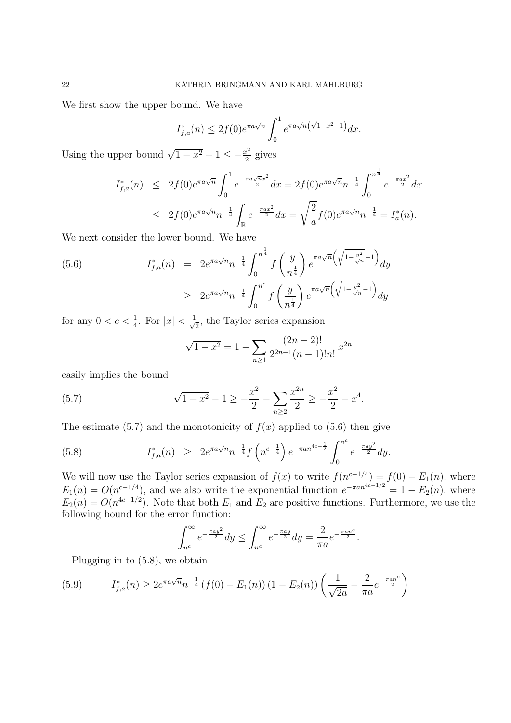We first show the upper bound. We have

$$
I_{f,a}^*(n) \le 2f(0)e^{\pi a\sqrt{n}} \int_0^1 e^{\pi a\sqrt{n}(\sqrt{1-x^2}-1)} dx.
$$

Using the upper bound  $\sqrt{1-x^2} - 1 \le -\frac{x^2}{2}$  gives

$$
I_{f,a}^{*}(n) \leq 2f(0)e^{\pi a\sqrt{n}} \int_0^1 e^{-\frac{\pi a\sqrt{n}x^2}{2}} dx = 2f(0)e^{\pi a\sqrt{n}} n^{-\frac{1}{4}} \int_0^{n^{\frac{1}{4}}} e^{-\frac{\pi ax^2}{2}} dx
$$
  

$$
\leq 2f(0)e^{\pi a\sqrt{n}} n^{-\frac{1}{4}} \int_{\mathbb{R}} e^{-\frac{\pi ax^2}{2}} dx = \sqrt{\frac{2}{a}} f(0)e^{\pi a\sqrt{n}} n^{-\frac{1}{4}} = I_a^{*}(n).
$$

We next consider the lower bound. We have

$$
(5.6) \tI_{f,a}^{*}(n) = 2e^{\pi a\sqrt{n}}n^{-\frac{1}{4}}\int_{0}^{n^{\frac{1}{4}}} f\left(\frac{y}{n^{\frac{1}{4}}}\right)e^{\pi a\sqrt{n}\left(\sqrt{1-\frac{y^{2}}{\sqrt{n}}}-1\right)}dy
$$
  

$$
\geq 2e^{\pi a\sqrt{n}}n^{-\frac{1}{4}}\int_{0}^{n^{c}} f\left(\frac{y}{n^{\frac{1}{4}}}\right)e^{\pi a\sqrt{n}\left(\sqrt{1-\frac{y^{2}}{\sqrt{n}}}-1\right)}dy
$$

for any  $0 < c < \frac{1}{4}$ . For  $|x| < \frac{1}{\sqrt{2}}$ , the Taylor series expansion

$$
\sqrt{1-x^2} = 1 - \sum_{n\geq 1} \frac{(2n-2)!}{2^{2n-1}(n-1)!n!} x^{2n}
$$

easily implies the bound

(5.7) 
$$
\sqrt{1-x^2} - 1 \ge -\frac{x^2}{2} - \sum_{n\ge 2} \frac{x^{2n}}{2} \ge -\frac{x^2}{2} - x^4.
$$

The estimate (5.7) and the monotonicity of  $f(x)$  applied to (5.6) then give

(5.8) 
$$
I_{f,a}^{*}(n) \geq 2e^{\pi a\sqrt{n}}n^{-\frac{1}{4}}f\left(n^{c-\frac{1}{4}}\right)e^{-\pi a n^{4c-\frac{1}{2}}}\int_{0}^{n^{c}}e^{-\frac{\pi a y^{2}}{2}}dy.
$$

We will now use the Taylor series expansion of  $f(x)$  to write  $f(n^{c-1/4}) = f(0) - E_1(n)$ , where  $E_1(n) = O(n^{c-1/4})$ , and we also write the exponential function  $e^{-\pi a n^{4c-1/2}} = 1 - E_2(n)$ , where  $E_2(n) = O(n^{4c-1/2})$ . Note that both  $E_1$  and  $E_2$  are positive functions. Furthermore, we use the following bound for the error function:

$$
\int_{n^c}^{\infty} e^{-\frac{\pi a y^2}{2}} dy \le \int_{n^c}^{\infty} e^{-\frac{\pi a y}{2}} dy = \frac{2}{\pi a} e^{-\frac{\pi a n^c}{2}}.
$$

Plugging in to (5.8), we obtain

$$
(5.9) \tI_{f,a}^{*}(n) \ge 2e^{\pi a\sqrt{n}}n^{-\frac{1}{4}}(f(0) - E_1(n))(1 - E_2(n))\left(\frac{1}{\sqrt{2a}} - \frac{2}{\pi a}e^{-\frac{\pi a n^c}{2}}\right)
$$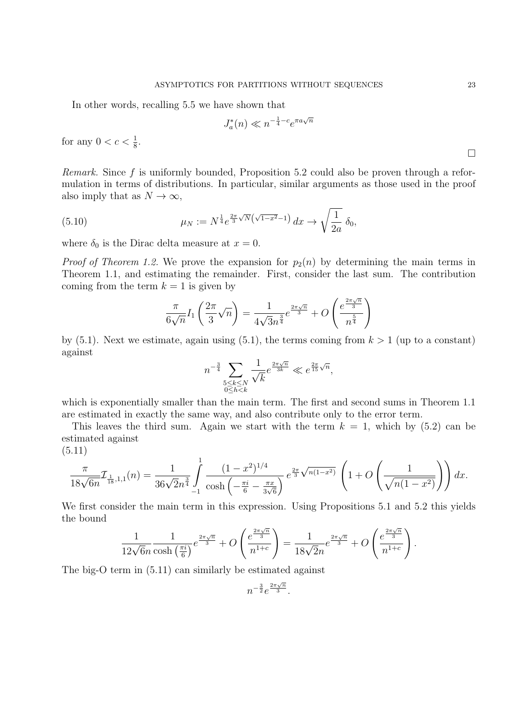In other words, recalling 5.5 we have shown that

$$
J_a^*(n) \ll n^{-\frac{1}{4} - c} e^{\pi a \sqrt{n}}
$$

for any  $0 < c < \frac{1}{8}$ .

Remark. Since f is uniformly bounded, Proposition 5.2 could also be proven through a reformulation in terms of distributions. In particular, similar arguments as those used in the proof also imply that as  $N \to \infty$ ,

(5.10) 
$$
\mu_N := N^{\frac{1}{4}} e^{\frac{2\pi}{3}\sqrt{N}\left(\sqrt{1-x^2}-1\right)} dx \to \sqrt{\frac{1}{2a}} \delta_0,
$$

where  $\delta_0$  is the Dirac delta measure at  $x = 0$ .

*Proof of Theorem 1.2.* We prove the expansion for  $p_2(n)$  by determining the main terms in Theorem 1.1, and estimating the remainder. First, consider the last sum. The contribution coming from the term  $k = 1$  is given by

$$
\frac{\pi}{6\sqrt{n}}I_1\left(\frac{2\pi}{3}\sqrt{n}\right) = \frac{1}{4\sqrt{3}n^{\frac{3}{4}}}e^{\frac{2\pi\sqrt{n}}{3}} + O\left(\frac{e^{\frac{2\pi\sqrt{n}}{3}}}{n^{\frac{5}{4}}}\right)
$$

by (5.1). Next we estimate, again using (5.1), the terms coming from  $k > 1$  (up to a constant) against

$$
n^{-\frac{3}{4}}\sum_{\substack{5\leq k\leq N\\0\leq h
$$

which is exponentially smaller than the main term. The first and second sums in Theorem 1.1 are estimated in exactly the same way, and also contribute only to the error term.

This leaves the third sum. Again we start with the term  $k = 1$ , which by (5.2) can be estimated against (5.11)

$$
\frac{\pi}{18\sqrt{6n}} \mathcal{I}_{\frac{1}{18},1,1}(n) = \frac{1}{36\sqrt{2}n^{\frac{3}{4}}} \int_{-1}^{1} \frac{(1-x^2)^{1/4}}{\cosh\left(-\frac{\pi i}{6} - \frac{\pi x}{3\sqrt{6}}\right)} e^{\frac{2\pi}{3}\sqrt{n(1-x^2)}} \left(1 + O\left(\frac{1}{\sqrt{n(1-x^2)}}\right)\right) dx.
$$

We first consider the main term in this expression. Using Propositions 5.1 and 5.2 this yields the bound

$$
\frac{1}{12\sqrt{6}n} \frac{1}{\cosh\left(\frac{\pi i}{6}\right)} e^{\frac{2\pi\sqrt{n}}{3}} + O\left(\frac{e^{\frac{2\pi\sqrt{n}}{3}}}{n^{1+c}}\right) = \frac{1}{18\sqrt{2}n} e^{\frac{2\pi\sqrt{n}}{3}} + O\left(\frac{e^{\frac{2\pi\sqrt{n}}{3}}}{n^{1+c}}\right).
$$

The big-O term in (5.11) can similarly be estimated against

$$
n^{-\frac{3}{2}}e^{\frac{2\pi\sqrt{n}}{3}}.
$$

 $\Box$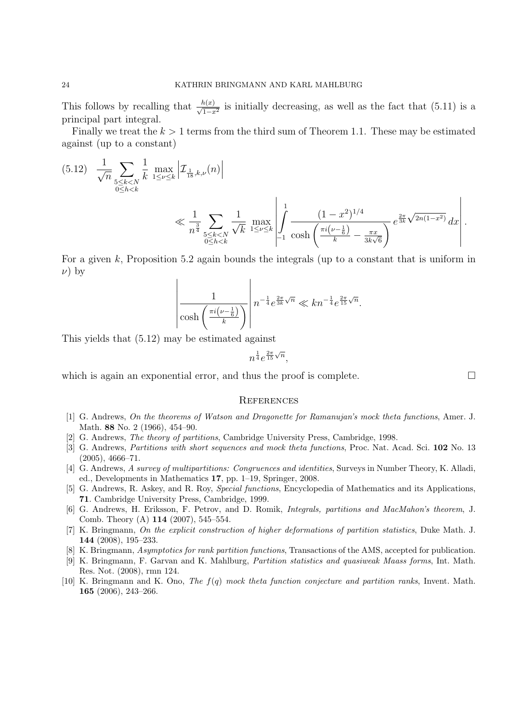This follows by recalling that  $\frac{h(x)}{\sqrt{1-x^2}}$  is initially decreasing, as well as the fact that (5.11) is a principal part integral.

Finally we treat the  $k > 1$  terms from the third sum of Theorem 1.1. These may be estimated against (up to a constant)

$$
(5.12) \quad \frac{1}{\sqrt{n}} \sum_{\substack{5 \le k < N \\ 0 \le h < k}} \frac{1}{k} \max_{1 \le \nu \le k} \left| \mathcal{I}_{\frac{1}{18}, k, \nu}(n) \right|
$$
\n
$$
\ll \frac{1}{n^{\frac{3}{4}}} \sum_{\substack{5 \le k < N \\ 0 \le h < k}} \frac{1}{\sqrt{k}} \max_{1 \le \nu \le k} \left| \int_{-1}^{1} \frac{(1 - x^2)^{1/4}}{\cosh\left(\frac{\pi i (\nu - \frac{1}{6})}{k} - \frac{\pi x}{3k\sqrt{6}}\right)}} e^{\frac{2\pi}{3k} \sqrt{2n(1-x^2)}} dx \right|.
$$

For a given k, Proposition 5.2 again bounds the integrals (up to a constant that is uniform in  $\nu$ ) by

$$
\left|\frac{1}{\cosh\left(\frac{\pi i\left(\nu-\frac{1}{6}\right)}{k}\right)}\right|n^{-\frac{1}{4}}e^{\frac{2\pi}{3k}\sqrt{n}} \ll kn^{-\frac{1}{4}}e^{\frac{2\pi}{15}\sqrt{n}}.
$$

This yields that (5.12) may be estimated against

$$
n^{\frac{1}{4}}e^{\frac{2\pi}{15}\sqrt{n}},
$$

which is again an exponential error, and thus the proof is complete.

#### **REFERENCES**

- [1] G. Andrews, On the theorems of Watson and Dragonette for Ramanujan's mock theta functions, Amer. J. Math. **88** No. 2 (1966), 454–90.
- [2] G. Andrews, The theory of partitions, Cambridge University Press, Cambridge, 1998.
- [3] G. Andrews, Partitions with short sequences and mock theta functions, Proc. Nat. Acad. Sci. **102** No. 13 (2005), 4666–71.
- [4] G. Andrews, A survey of multipartitions: Congruences and identities, Surveys in Number Theory, K. Alladi, ed., Developments in Mathematics **17**, pp. 1–19, Springer, 2008.
- [5] G. Andrews, R. Askey, and R. Roy, Special functions, Encyclopedia of Mathematics and its Applications, **71**. Cambridge University Press, Cambridge, 1999.
- [6] G. Andrews, H. Eriksson, F. Petrov, and D. Romik, Integrals, partitions and MacMahon's theorem, J. Comb. Theory (A) **114** (2007), 545–554.
- [7] K. Bringmann, On the explicit construction of higher deformations of partition statistics, Duke Math. J. **144** (2008), 195–233.
- [8] K. Bringmann, Asymptotics for rank partition functions, Transactions of the AMS, accepted for publication.
- [9] K. Bringmann, F. Garvan and K. Mahlburg, Partition statistics and quasiweak Maass forms, Int. Math. Res. Not. (2008), rmn 124.
- [10] K. Bringmann and K. Ono, The f(q) mock theta function conjecture and partition ranks, Invent. Math. **165** (2006), 243–266.

 $\Box$